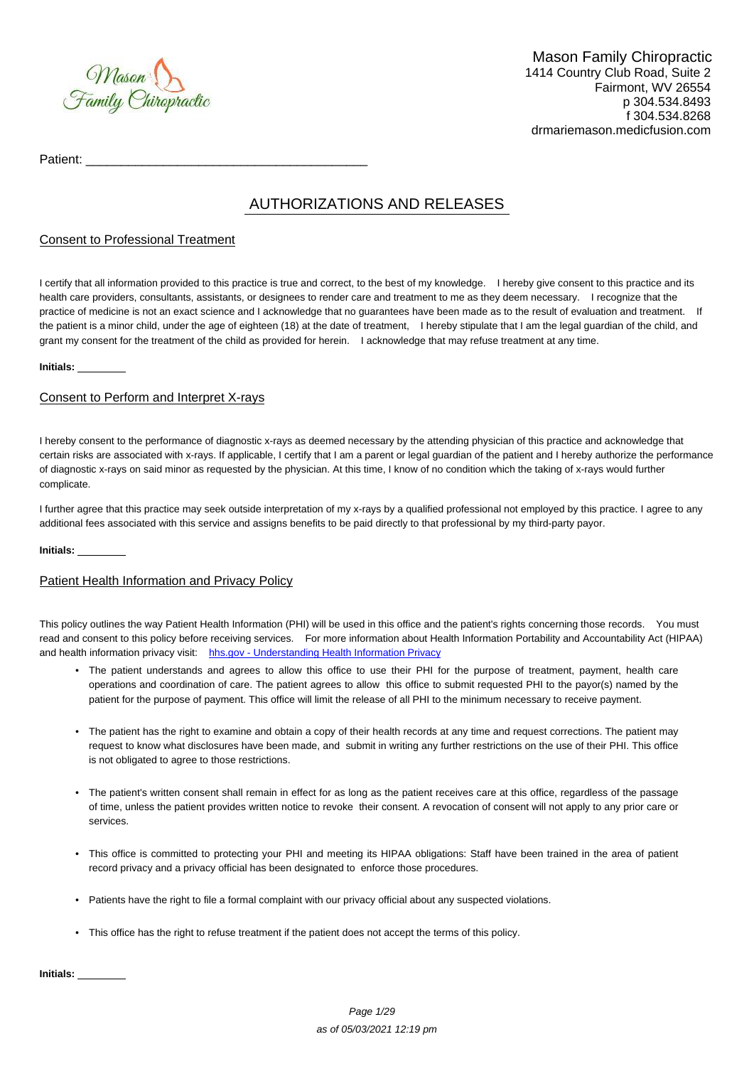

Patient:

# AUTHORIZATIONS AND RELEASES

## Consent to Professional Treatment

I certify that all information provided to this practice is true and correct, to the best of my knowledge. I hereby give consent to this practice and its health care providers, consultants, assistants, or designees to render care and treatment to me as they deem necessary. I recognize that the practice of medicine is not an exact science and I acknowledge that no guarantees have been made as to the result of evaluation and treatment. If the patient is a minor child, under the age of eighteen (18) at the date of treatment, I hereby stipulate that I am the legal guardian of the child, and grant my consent for the treatment of the child as provided for herein. I acknowledge that may refuse treatment at any time.

#### **Initials:**

# Consent to Perform and Interpret X-rays

I hereby consent to the performance of diagnostic x-rays as deemed necessary by the attending physician of this practice and acknowledge that certain risks are associated with x-rays. If applicable, I certify that I am a parent or legal guardian of the patient and I hereby authorize the performance of diagnostic x-rays on said minor as requested by the physician. At this time, I know of no condition which the taking of x-rays would further complicate.

I further agree that this practice may seek outside interpretation of my x-rays by a qualified professional not employed by this practice. I agree to any additional fees associated with this service and assigns benefits to be paid directly to that professional by my third-party payor.

#### **Initials:**

## Patient Health Information and Privacy Policy

This policy outlines the way Patient Health Information (PHI) will be used in this office and the patient's rights concerning those records. You must read and consent to this policy before receiving services. For more information about Health Information Portability and Accountability Act (HIPAA) and health information privacy visit: [hhs.gov - Understanding Health Information Privacy](http://www.hhs.gov/ocr/privacy/hipaa/understanding/index.html)

- The patient understands and agrees to allow this office to use their PHI for the purpose of treatment, payment, health care operations and coordination of care. The patient agrees to allow this office to submit requested PHI to the payor(s) named by the patient for the purpose of payment. This office will limit the release of all PHI to the minimum necessary to receive payment.
- The patient has the right to examine and obtain a copy of their health records at any time and request corrections. The patient may request to know what disclosures have been made, and submit in writing any further restrictions on the use of their PHI. This office is not obligated to agree to those restrictions.
- The patient's written consent shall remain in effect for as long as the patient receives care at this office, regardless of the passage of time, unless the patient provides written notice to revoke their consent. A revocation of consent will not apply to any prior care or services.
- This office is committed to protecting your PHI and meeting its HIPAA obligations: Staff have been trained in the area of patient record privacy and a privacy official has been designated to enforce those procedures.
- Patients have the right to file a formal complaint with our privacy official about any suspected violations.
- This office has the right to refuse treatment if the patient does not accept the terms of this policy.

**Initials:**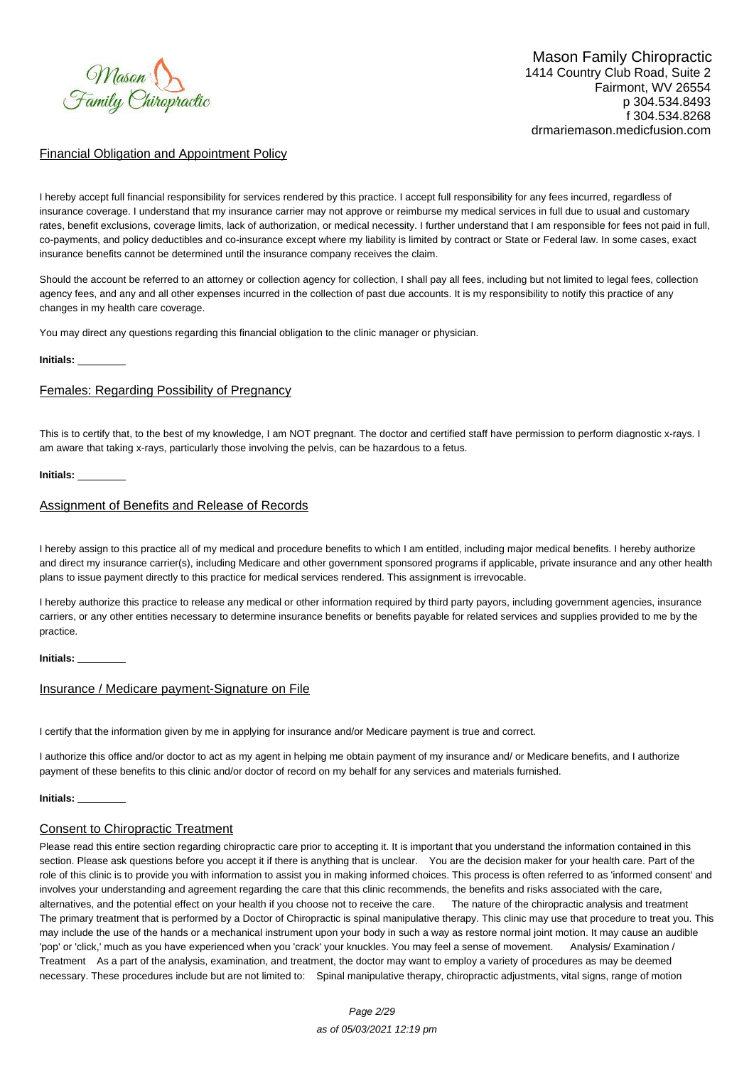

## Financial Obligation and Appointment Policy

I hereby accept full financial responsibility for services rendered by this practice. I accept full responsibility for any fees incurred, regardless of insurance coverage. I understand that my insurance carrier may not approve or reimburse my medical services in full due to usual and customary rates, benefit exclusions, coverage limits, lack of authorization, or medical necessity. I further understand that I am responsible for fees not paid in full, co-payments, and policy deductibles and co-insurance except where my liability is limited by contract or State or Federal law. In some cases, exact insurance benefits cannot be determined until the insurance company receives the claim.

Should the account be referred to an attorney or collection agency for collection, I shall pay all fees, including but not limited to legal fees, collection agency fees, and any and all other expenses incurred in the collection of past due accounts. It is my responsibility to notify this practice of any changes in my health care coverage.

You may direct any questions regarding this financial obligation to the clinic manager or physician.

#### **Initials:**

#### Females: Regarding Possibility of Pregnancy

This is to certify that, to the best of my knowledge, I am NOT pregnant. The doctor and certified staff have permission to perform diagnostic x-rays. I am aware that taking x-rays, particularly those involving the pelvis, can be hazardous to a fetus.

#### **Initials:**

## Assignment of Benefits and Release of Records

I hereby assign to this practice all of my medical and procedure benefits to which I am entitled, including major medical benefits. I hereby authorize and direct my insurance carrier(s), including Medicare and other government sponsored programs if applicable, private insurance and any other health plans to issue payment directly to this practice for medical services rendered. This assignment is irrevocable.

I hereby authorize this practice to release any medical or other information required by third party payors, including government agencies, insurance carriers, or any other entities necessary to determine insurance benefits or benefits payable for related services and supplies provided to me by the practice.

#### **Initials:**

#### Insurance / Medicare payment-Signature on File

I certify that the information given by me in applying for insurance and/or Medicare payment is true and correct.

I authorize this office and/or doctor to act as my agent in helping me obtain payment of my insurance and/ or Medicare benefits, and I authorize payment of these benefits to this clinic and/or doctor of record on my behalf for any services and materials furnished.

#### **Initials:**

## Consent to Chiropractic Treatment

Please read this entire section regarding chiropractic care prior to accepting it. It is important that you understand the information contained in this section. Please ask questions before you accept it if there is anything that is unclear. You are the decision maker for your health care. Part of the role of this clinic is to provide you with information to assist you in making informed choices. This process is often referred to as 'informed consent' and involves your understanding and agreement regarding the care that this clinic recommends, the benefits and risks associated with the care, alternatives, and the potential effect on your health if you choose not to receive the care. The nature of the chiropractic analysis and treatment The primary treatment that is performed by a Doctor of Chiropractic is spinal manipulative therapy. This clinic may use that procedure to treat you. This may include the use of the hands or a mechanical instrument upon your body in such a way as restore normal joint motion. It may cause an audible 'pop' or 'click,' much as you have experienced when you 'crack' your knuckles. You may feel a sense of movement. Analysis/ Examination / Treatment As a part of the analysis, examination, and treatment, the doctor may want to employ a variety of procedures as may be deemed necessary. These procedures include but are not limited to: Spinal manipulative therapy, chiropractic adjustments, vital signs, range of motion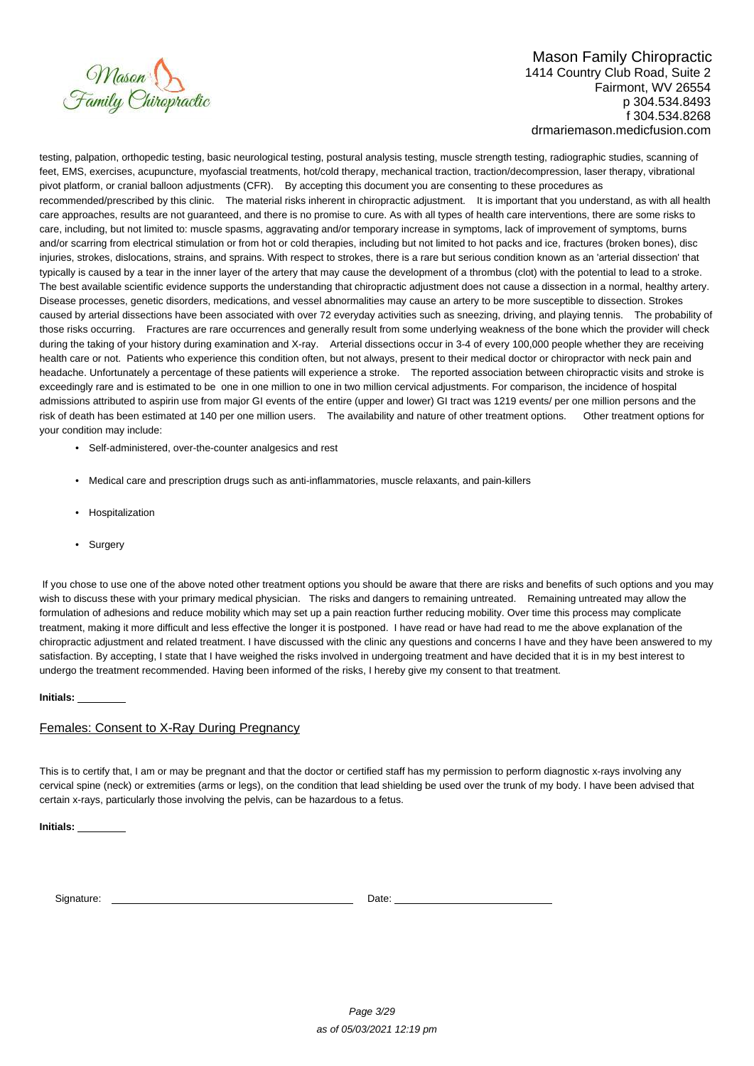

testing, palpation, orthopedic testing, basic neurological testing, postural analysis testing, muscle strength testing, radiographic studies, scanning of feet, EMS, exercises, acupuncture, myofascial treatments, hot/cold therapy, mechanical traction, traction/decompression, laser therapy, vibrational pivot platform, or cranial balloon adjustments (CFR). By accepting this document you are consenting to these procedures as recommended/prescribed by this clinic. The material risks inherent in chiropractic adjustment. It is important that you understand, as with all health care approaches, results are not guaranteed, and there is no promise to cure. As with all types of health care interventions, there are some risks to care, including, but not limited to: muscle spasms, aggravating and/or temporary increase in symptoms, lack of improvement of symptoms, burns and/or scarring from electrical stimulation or from hot or cold therapies, including but not limited to hot packs and ice, fractures (broken bones), disc injuries, strokes, dislocations, strains, and sprains. With respect to strokes, there is a rare but serious condition known as an 'arterial dissection' that typically is caused by a tear in the inner layer of the artery that may cause the development of a thrombus (clot) with the potential to lead to a stroke. The best available scientific evidence supports the understanding that chiropractic adjustment does not cause a dissection in a normal, healthy artery. Disease processes, genetic disorders, medications, and vessel abnormalities may cause an artery to be more susceptible to dissection. Strokes caused by arterial dissections have been associated with over 72 everyday activities such as sneezing, driving, and playing tennis. The probability of those risks occurring. Fractures are rare occurrences and generally result from some underlying weakness of the bone which the provider will check during the taking of your history during examination and X-ray. Arterial dissections occur in 3-4 of every 100,000 people whether they are receiving health care or not. Patients who experience this condition often, but not always, present to their medical doctor or chiropractor with neck pain and headache. Unfortunately a percentage of these patients will experience a stroke. The reported association between chiropractic visits and stroke is exceedingly rare and is estimated to be one in one million to one in two million cervical adjustments. For comparison, the incidence of hospital admissions attributed to aspirin use from major GI events of the entire (upper and lower) GI tract was 1219 events/ per one million persons and the risk of death has been estimated at 140 per one million users. The availability and nature of other treatment options. Other treatment options for your condition may include:

- Self-administered, over-the-counter analgesics and rest
- Medical care and prescription drugs such as anti-inflammatories, muscle relaxants, and pain-killers
- Hospitalization
- Surgery

 If you chose to use one of the above noted other treatment options you should be aware that there are risks and benefits of such options and you may wish to discuss these with your primary medical physician. The risks and dangers to remaining untreated. Remaining untreated may allow the formulation of adhesions and reduce mobility which may set up a pain reaction further reducing mobility. Over time this process may complicate treatment, making it more difficult and less effective the longer it is postponed. I have read or have had read to me the above explanation of the chiropractic adjustment and related treatment. I have discussed with the clinic any questions and concerns I have and they have been answered to my satisfaction. By accepting, I state that I have weighed the risks involved in undergoing treatment and have decided that it is in my best interest to undergo the treatment recommended. Having been informed of the risks, I hereby give my consent to that treatment.

**Initials:** 

# Females: Consent to X-Ray During Pregnancy

This is to certify that, I am or may be pregnant and that the doctor or certified staff has my permission to perform diagnostic x-rays involving any cervical spine (neck) or extremities (arms or legs), on the condition that lead shielding be used over the trunk of my body. I have been advised that certain x-rays, particularly those involving the pelvis, can be hazardous to a fetus.

**Initials:** 

Signature: Date: Date: Date: Date: Date: Date: Date: Date: Date: Date: Date: Date: Date: Date: Date: Date: Date: Date: Date: Date: Date: Date: Date: Date: Date: Date: Date: Date: Date: Date: Date: Date: Date: Date: Date: D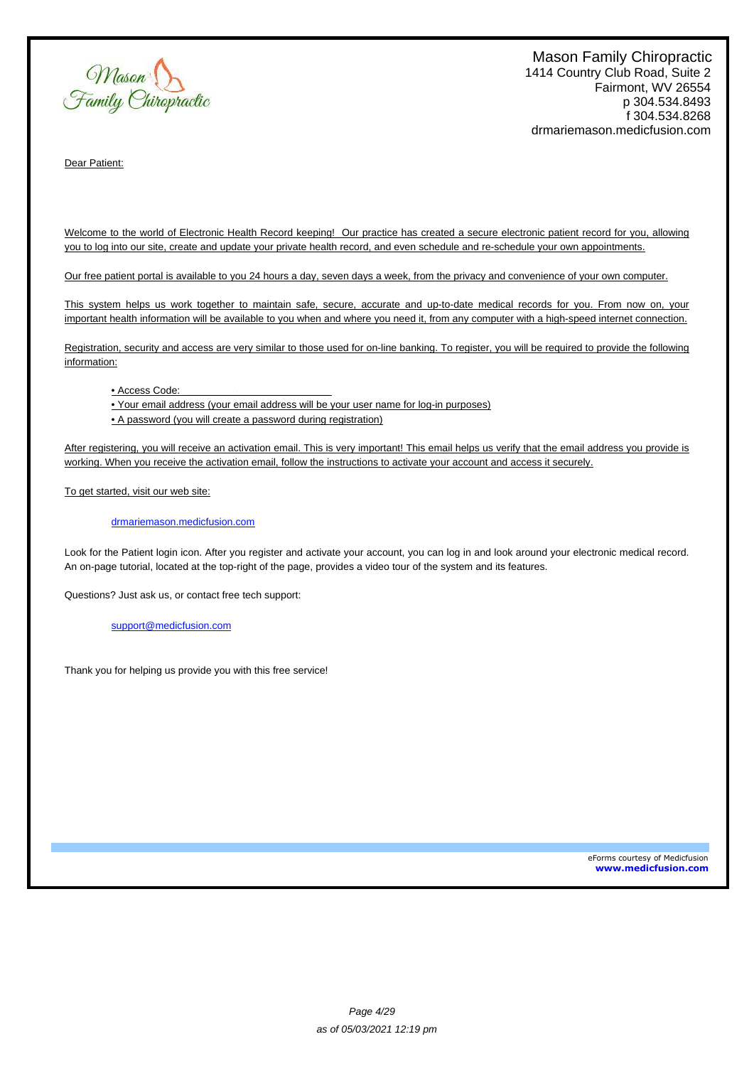Mason<br>Family Chiropractic

Dear Patient:

Welcome to the world of Electronic Health Record keeping! Our practice has created a secure electronic patient record for you, allowing you to log into our site, create and update your private health record, and even schedule and re-schedule your own appointments.

Our free patient portal is available to you 24 hours a day, seven days a week, from the privacy and convenience of your own computer.

This system helps us work together to maintain safe, secure, accurate and up-to-date medical records for you. From now on, your important health information will be available to you when and where you need it, from any computer with a high-speed internet connection.

Registration, security and access are very similar to those used for on-line banking. To register, you will be required to provide the following information:

• Access Code:

• Your email address (your email address will be your user name for log-in purposes)

• A password (you will create a password during registration)

After registering, you will receive an activation email. This is very important! This email helps us verify that the email address you provide is working. When you receive the activation email, follow the instructions to activate your account and access it securely.

To get started, visit our web site:

#### drmariemason.medicfusion.com

Look for the Patient login icon. After you register and activate your account, you can log in and look around your electronic medical record. An on-page tutorial, located at the top-right of the page, provides a video tour of the system and its features.

Questions? Just ask us, or contact free tech support:

support@medicfusion.com

Thank you for helping us provide you with this free service!

eForms courtesy of Medicfusion **www.medicfusion.com**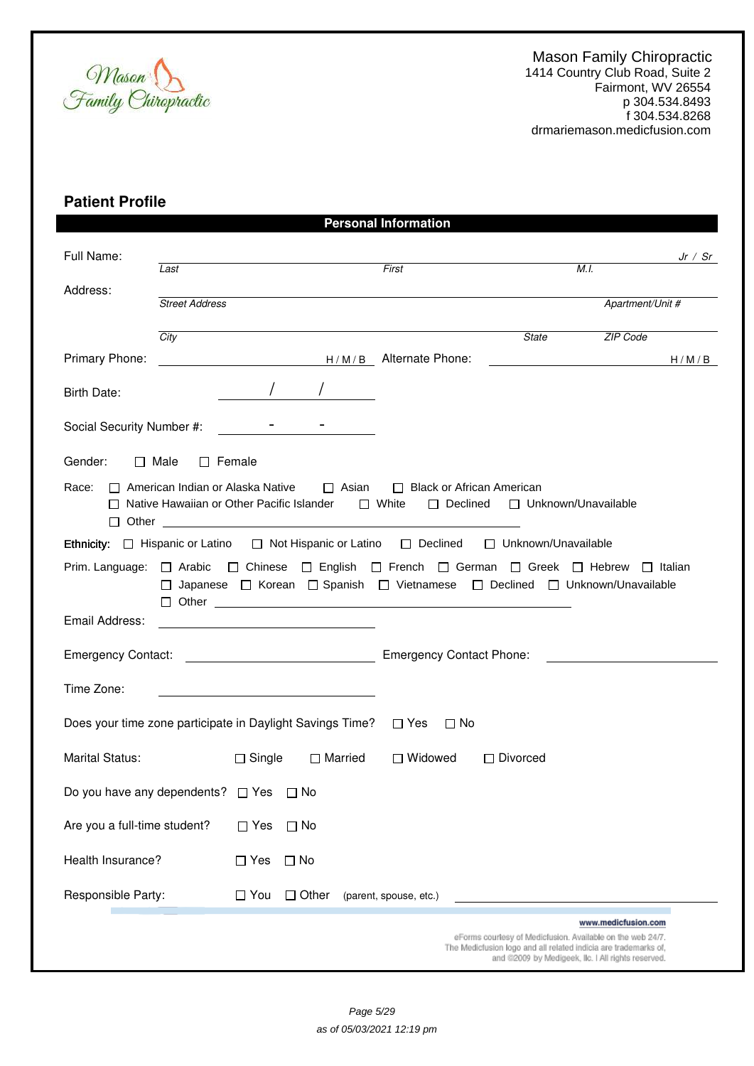

# **Patient Profile**

|                                                                                                                                                                                               |                              |               |                | <b>Personal Information</b> |                                                                                                                                                                          |                                          |         |
|-----------------------------------------------------------------------------------------------------------------------------------------------------------------------------------------------|------------------------------|---------------|----------------|-----------------------------|--------------------------------------------------------------------------------------------------------------------------------------------------------------------------|------------------------------------------|---------|
| Full Name:                                                                                                                                                                                    | Last                         |               |                | First                       |                                                                                                                                                                          | M.I.                                     | Jr / Sr |
| Address:                                                                                                                                                                                      | <b>Street Address</b>        |               |                |                             |                                                                                                                                                                          | Apartment/Unit #                         |         |
|                                                                                                                                                                                               | City                         |               |                |                             | <b>State</b>                                                                                                                                                             | ZIP Code                                 |         |
| Primary Phone:                                                                                                                                                                                |                              |               |                | H/M/B Alternate Phone:      |                                                                                                                                                                          | <u> 1989 - Johann Barbara, martxa al</u> | H/M/B   |
| Birth Date:                                                                                                                                                                                   |                              |               |                |                             |                                                                                                                                                                          |                                          |         |
| Social Security Number #:                                                                                                                                                                     |                              |               |                |                             |                                                                                                                                                                          |                                          |         |
| Gender:                                                                                                                                                                                       | $\Box$ Male<br>$\Box$ Female |               |                |                             |                                                                                                                                                                          |                                          |         |
| Race:<br>□ American Indian or Alaska Native<br>$\Box$ Asian<br>□ Black or African American<br>□ Native Hawaiian or Other Pacific Islander<br>$\Box$ White<br>□ Declined □ Unknown/Unavailable |                              |               |                |                             |                                                                                                                                                                          |                                          |         |
|                                                                                                                                                                                               |                              |               |                |                             | Ethnicity: □ Hispanic or Latino □ Not Hispanic or Latino □ Declined □ Unknown/Unavailable                                                                                |                                          |         |
|                                                                                                                                                                                               |                              |               |                |                             | Prim. Language: □ Arabic □ Chinese □ English □ French □ German □ Greek □ Hebrew □ Italian<br>□ Japanese □ Korean □ Spanish □ Vietnamese □ Declined □ Unknown/Unavailable |                                          |         |
| Email Address:                                                                                                                                                                                |                              |               |                |                             |                                                                                                                                                                          |                                          |         |
|                                                                                                                                                                                               |                              |               |                |                             |                                                                                                                                                                          |                                          |         |
| Time Zone:                                                                                                                                                                                    |                              |               |                |                             |                                                                                                                                                                          |                                          |         |
| Does your time zone participate in Daylight Savings Time? $\Box$ Yes                                                                                                                          |                              |               |                | $\Box$ No                   |                                                                                                                                                                          |                                          |         |
| Marital Status:                                                                                                                                                                               |                              | $\Box$ Single | $\Box$ Married | $\Box$ Widowed              | $\Box$ Divorced                                                                                                                                                          |                                          |         |
| Do you have any dependents?                                                                                                                                                                   |                              | $\square$ Yes | $\square$ No   |                             |                                                                                                                                                                          |                                          |         |
| Are you a full-time student?                                                                                                                                                                  |                              | $\Box$ Yes    | $\Box$ No      |                             |                                                                                                                                                                          |                                          |         |
| Health Insurance?                                                                                                                                                                             |                              | $\Box$ Yes    | $\Box$ No      |                             |                                                                                                                                                                          |                                          |         |
| Responsible Party:                                                                                                                                                                            |                              | $\Box$ You    | $\Box$ Other   | (parent, spouse, etc.)      |                                                                                                                                                                          |                                          |         |
|                                                                                                                                                                                               |                              |               |                |                             |                                                                                                                                                                          | www.medicfusion.com                      |         |
|                                                                                                                                                                                               |                              |               |                |                             | eForms courtesy of Medicfusion. Available on the web 24/7.<br>The Medicfusion logo and all related indicia are trademarks of,                                            |                                          |         |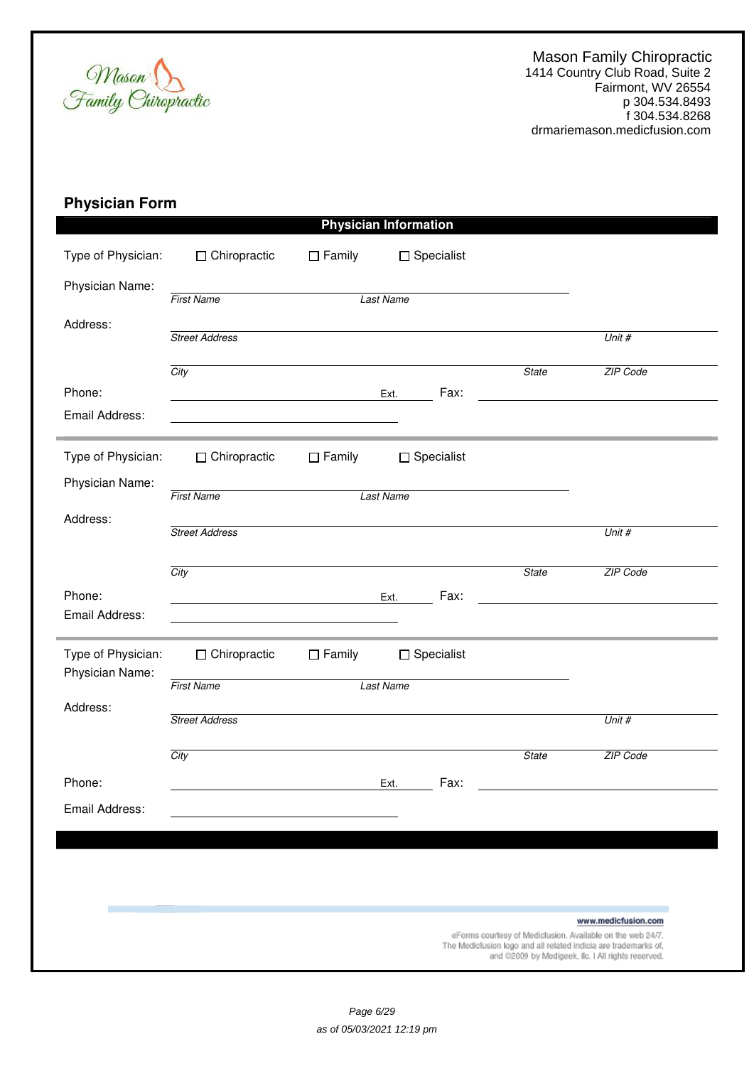

# **Physician Form**

| □ Chiropractic        | $\Box$ Family | $\Box$ Specialist                                    |                                                                                                                  |                                                                                                                               |
|-----------------------|---------------|------------------------------------------------------|------------------------------------------------------------------------------------------------------------------|-------------------------------------------------------------------------------------------------------------------------------|
| <b>First Name</b>     |               |                                                      |                                                                                                                  |                                                                                                                               |
| <b>Street Address</b> |               |                                                      |                                                                                                                  | Unit #                                                                                                                        |
| City                  |               |                                                      | <b>State</b>                                                                                                     | ZIP Code                                                                                                                      |
|                       |               | Fax:                                                 |                                                                                                                  |                                                                                                                               |
| $\Box$ Chiropractic   | $\Box$ Family | $\Box$ Specialist                                    |                                                                                                                  |                                                                                                                               |
| <b>First Name</b>     |               |                                                      |                                                                                                                  |                                                                                                                               |
| <b>Street Address</b> |               |                                                      |                                                                                                                  | Unit #                                                                                                                        |
| City                  |               |                                                      | <b>State</b>                                                                                                     | ZIP Code                                                                                                                      |
|                       |               | Fax:                                                 |                                                                                                                  |                                                                                                                               |
| $\Box$ Chiropractic   | $\Box$ Family | $\Box$ Specialist                                    |                                                                                                                  |                                                                                                                               |
| <b>First Name</b>     |               |                                                      |                                                                                                                  |                                                                                                                               |
| <b>Street Address</b> |               |                                                      |                                                                                                                  | Unit #                                                                                                                        |
| City                  |               |                                                      | <b>State</b>                                                                                                     | ZIP Code                                                                                                                      |
|                       |               | Fax:                                                 |                                                                                                                  |                                                                                                                               |
|                       |               |                                                      |                                                                                                                  |                                                                                                                               |
|                       |               |                                                      |                                                                                                                  |                                                                                                                               |
|                       |               |                                                      |                                                                                                                  |                                                                                                                               |
|                       |               |                                                      |                                                                                                                  | www.medicfusion.com                                                                                                           |
|                       |               | <u> 1989 - Johann Stein, Amerikaansk politiker (</u> | <b>Physician Information</b><br><b>Last Name</b><br>Ext.<br><b>Last Name</b><br>Ext.<br><b>Last Name</b><br>Ext. | eForms courtesy of Medicfusion. Available on the web 24/7.<br>The Medicfusion logo and all related indicia are trademarks of, |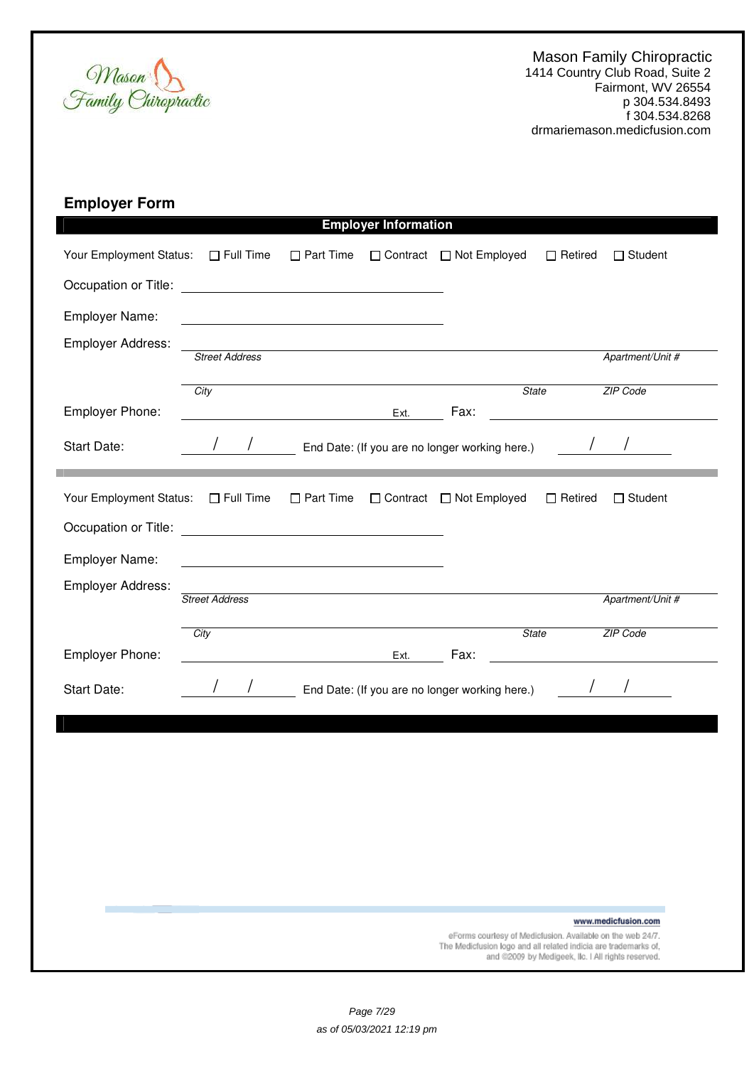

| <b>Employer Form</b> |  |
|----------------------|--|
|----------------------|--|

|                         |                                                                     |                                                                                                                     | <b>Employer Information</b> |                                                |                                                                                                                       |
|-------------------------|---------------------------------------------------------------------|---------------------------------------------------------------------------------------------------------------------|-----------------------------|------------------------------------------------|-----------------------------------------------------------------------------------------------------------------------|
| Your Employment Status: | $\Box$ Full Time                                                    | $\Box$ Part Time                                                                                                    | □ Contract                  | □ Not Employed                                 | $\Box$ Student<br>$\Box$ Retired                                                                                      |
| Occupation or Title:    | <u> 1980 - Andrea Station Barbara, amerikan personal (h. 1980).</u> |                                                                                                                     |                             |                                                |                                                                                                                       |
| Employer Name:          |                                                                     | <u> 1989 - Johann Barbara, martin amerikan basar dan basa dan basa dan basa dan basa dan basa dan basa dan basa</u> |                             |                                                |                                                                                                                       |
| Employer Address:       | <b>Street Address</b>                                               |                                                                                                                     |                             |                                                | Apartment/Unit #                                                                                                      |
|                         | City                                                                |                                                                                                                     |                             | <b>State</b>                                   | ZIP Code                                                                                                              |
| Employer Phone:         |                                                                     |                                                                                                                     | Ext.                        | Fax:                                           |                                                                                                                       |
| Start Date:             |                                                                     |                                                                                                                     |                             | End Date: (If you are no longer working here.) |                                                                                                                       |
| Your Employment Status: | $\Box$ Full Time                                                    | $\Box$ Part Time                                                                                                    |                             | □ Contract □ Not Employed                      | $\Box$ Retired<br>$\Box$ Student                                                                                      |
|                         |                                                                     |                                                                                                                     |                             |                                                |                                                                                                                       |
| Employer Name:          |                                                                     |                                                                                                                     |                             |                                                |                                                                                                                       |
| Employer Address:       | <b>Street Address</b>                                               |                                                                                                                     |                             |                                                | Apartment/Unit #                                                                                                      |
|                         |                                                                     |                                                                                                                     |                             | <b>State</b>                                   | ZIP Code                                                                                                              |
| Employer Phone:         | City                                                                |                                                                                                                     | Ext.                        | Fax:                                           |                                                                                                                       |
| Start Date:             |                                                                     |                                                                                                                     |                             | End Date: (If you are no longer working here.) |                                                                                                                       |
|                         |                                                                     |                                                                                                                     |                             |                                                |                                                                                                                       |
|                         |                                                                     |                                                                                                                     |                             |                                                |                                                                                                                       |
|                         |                                                                     |                                                                                                                     |                             |                                                |                                                                                                                       |
|                         |                                                                     |                                                                                                                     |                             |                                                |                                                                                                                       |
|                         |                                                                     |                                                                                                                     |                             |                                                |                                                                                                                       |
|                         |                                                                     |                                                                                                                     |                             |                                                |                                                                                                                       |
|                         |                                                                     |                                                                                                                     |                             |                                                |                                                                                                                       |
|                         |                                                                     |                                                                                                                     |                             |                                                | www.medicfusion.com<br>eForms courtesy of Medicfusion. Available on the web 24/7.                                     |
|                         |                                                                     |                                                                                                                     |                             |                                                | The Medicfusion logo and all related indicia are trademarks of,<br>and @2009 by Medigeek, Ilc. I All rights reserved. |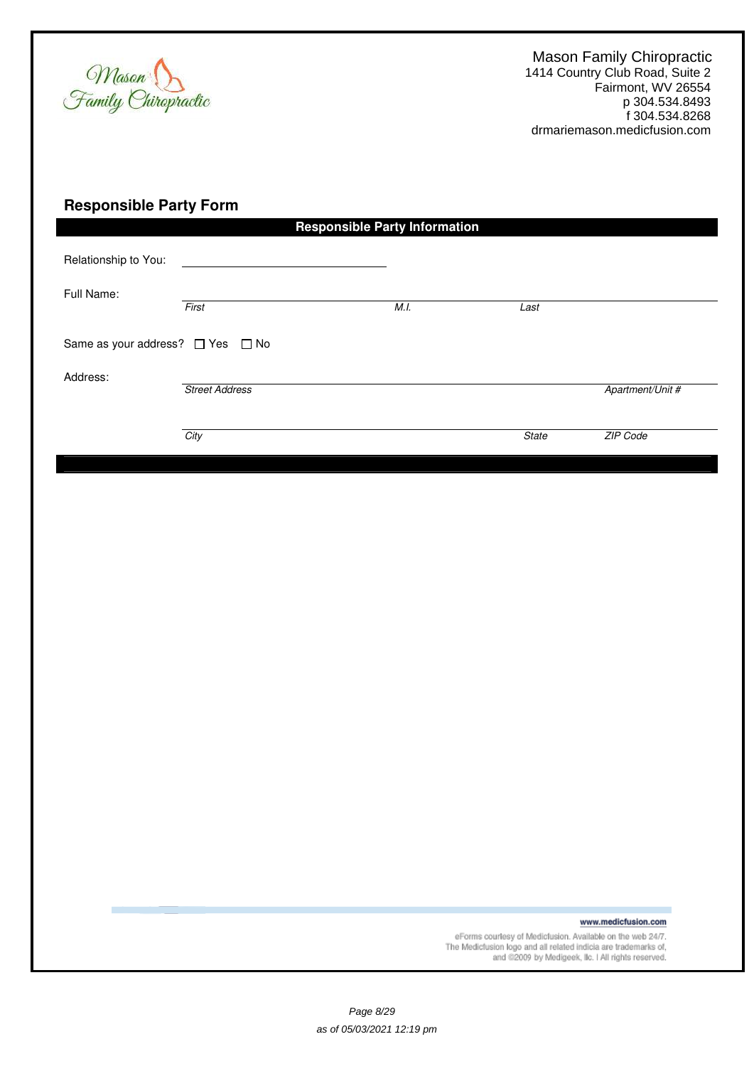

# **Responsible Party Form**

|                                              |       | Last                                         |                  |  |  |
|----------------------------------------------|-------|----------------------------------------------|------------------|--|--|
| Same as your address? □ Yes □ No<br>Address: |       |                                              |                  |  |  |
| <b>Street Address</b>                        |       |                                              | Apartment/Unit # |  |  |
|                                              |       |                                              |                  |  |  |
| City                                         |       | <b>State</b>                                 | ZIP Code         |  |  |
|                                              | First | <b>Responsible Party Information</b><br>M.I. |                  |  |  |

www.medicfusion.com

eForms courtesy of Medicfusion. Available on the web 24/7.<br>The Medicfusion logo and all related indicia are trademarks of,<br>and @2009 by Medigeek, Ilc. I All rights reserved.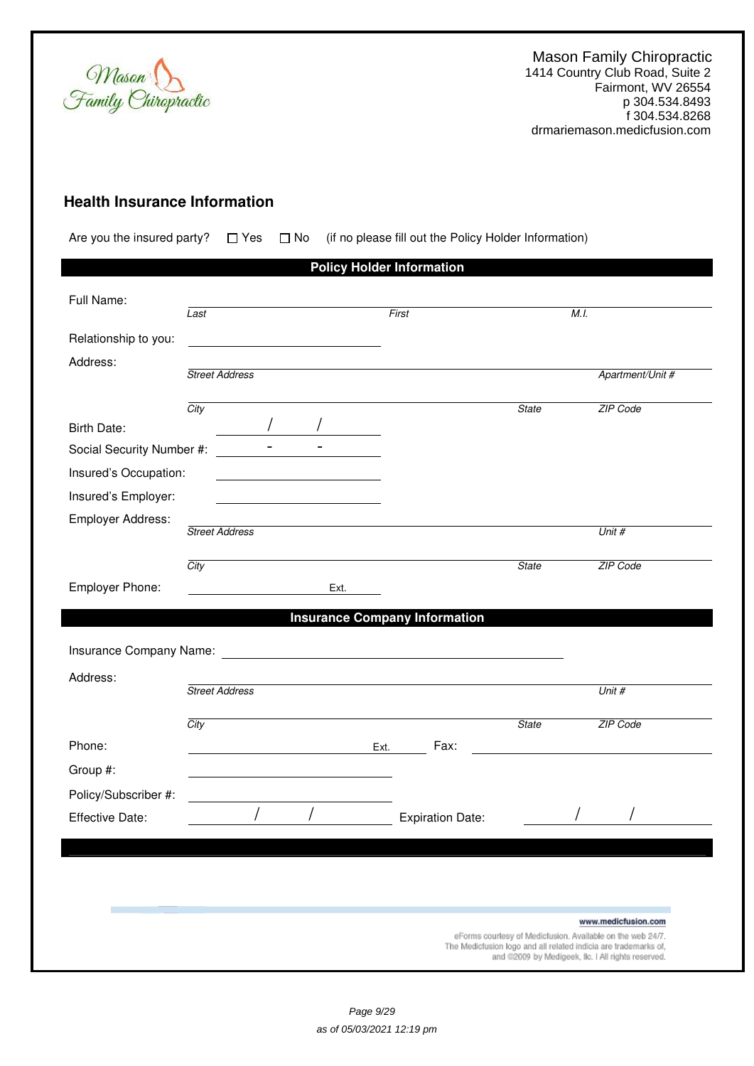

# **Health Insurance Information**

Are you the insured party?  $\Box$  Yes  $\Box$  No (if no please fill out the Policy Holder Information)

|                           |                       |                                                                                                                        | <b>Policy Holder Information</b>                                                                                                                                                                                                    |              |                                                                                                                       |
|---------------------------|-----------------------|------------------------------------------------------------------------------------------------------------------------|-------------------------------------------------------------------------------------------------------------------------------------------------------------------------------------------------------------------------------------|--------------|-----------------------------------------------------------------------------------------------------------------------|
| Full Name:                |                       |                                                                                                                        |                                                                                                                                                                                                                                     |              |                                                                                                                       |
|                           | Last                  |                                                                                                                        | First                                                                                                                                                                                                                               |              | M.I.                                                                                                                  |
| Relationship to you:      |                       | <u> 1980 - Johann Barbara, martin amerikan basar da</u>                                                                |                                                                                                                                                                                                                                     |              |                                                                                                                       |
| Address:                  |                       |                                                                                                                        |                                                                                                                                                                                                                                     |              |                                                                                                                       |
|                           | <b>Street Address</b> |                                                                                                                        |                                                                                                                                                                                                                                     |              | Apartment/Unit #                                                                                                      |
|                           | City                  |                                                                                                                        |                                                                                                                                                                                                                                     | <b>State</b> | ZIP Code                                                                                                              |
| Birth Date:               |                       |                                                                                                                        |                                                                                                                                                                                                                                     |              |                                                                                                                       |
| Social Security Number #: | $\sim$                |                                                                                                                        |                                                                                                                                                                                                                                     |              |                                                                                                                       |
| Insured's Occupation:     |                       | <u> 1989 - John Stein, mars and de Branch and de Branch and de Branch and de Branch and de Branch and de Branch an</u> |                                                                                                                                                                                                                                     |              |                                                                                                                       |
| Insured's Employer:       |                       | <u> 1980 - Johann Barn, mars an t-Amerikaansk kommunister (</u>                                                        |                                                                                                                                                                                                                                     |              |                                                                                                                       |
| Employer Address:         |                       |                                                                                                                        |                                                                                                                                                                                                                                     |              |                                                                                                                       |
|                           | <b>Street Address</b> |                                                                                                                        |                                                                                                                                                                                                                                     |              | Unit #                                                                                                                |
|                           | City                  |                                                                                                                        |                                                                                                                                                                                                                                     | <b>State</b> | ZIP Code                                                                                                              |
| Employer Phone:           |                       | Ext.                                                                                                                   |                                                                                                                                                                                                                                     |              |                                                                                                                       |
|                           |                       |                                                                                                                        | <b>Insurance Company Information</b>                                                                                                                                                                                                |              |                                                                                                                       |
|                           |                       |                                                                                                                        |                                                                                                                                                                                                                                     |              |                                                                                                                       |
|                           |                       |                                                                                                                        | Insurance Company Name: <b>All According to the Company Name:</b> All According to the According to the According to the According to the According to the According to the According to the According to the According to the Acco |              |                                                                                                                       |
| Address:                  |                       |                                                                                                                        |                                                                                                                                                                                                                                     |              |                                                                                                                       |
|                           | <b>Street Address</b> |                                                                                                                        |                                                                                                                                                                                                                                     |              | Unit #                                                                                                                |
|                           | City                  |                                                                                                                        |                                                                                                                                                                                                                                     | <b>State</b> | ZIP Code                                                                                                              |
| Phone:                    |                       |                                                                                                                        | Fax:<br>Ext.                                                                                                                                                                                                                        |              |                                                                                                                       |
| Group #:                  |                       |                                                                                                                        |                                                                                                                                                                                                                                     |              |                                                                                                                       |
| Policy/Subscriber #:      |                       |                                                                                                                        |                                                                                                                                                                                                                                     |              |                                                                                                                       |
| Effective Date:           |                       |                                                                                                                        | <b>Expiration Date:</b>                                                                                                                                                                                                             |              |                                                                                                                       |
|                           |                       |                                                                                                                        |                                                                                                                                                                                                                                     |              |                                                                                                                       |
|                           |                       |                                                                                                                        |                                                                                                                                                                                                                                     |              |                                                                                                                       |
|                           |                       |                                                                                                                        |                                                                                                                                                                                                                                     |              |                                                                                                                       |
|                           |                       |                                                                                                                        |                                                                                                                                                                                                                                     |              |                                                                                                                       |
|                           |                       |                                                                                                                        |                                                                                                                                                                                                                                     |              | www.medicfusion.com<br>eForms courtesy of Medicfusion. Available on the web 24/7.                                     |
|                           |                       |                                                                                                                        |                                                                                                                                                                                                                                     |              | The Medicfusion logo and all related indicia are trademarks of,<br>and @2009 by Medigeek, Ilc. I All rights reserved. |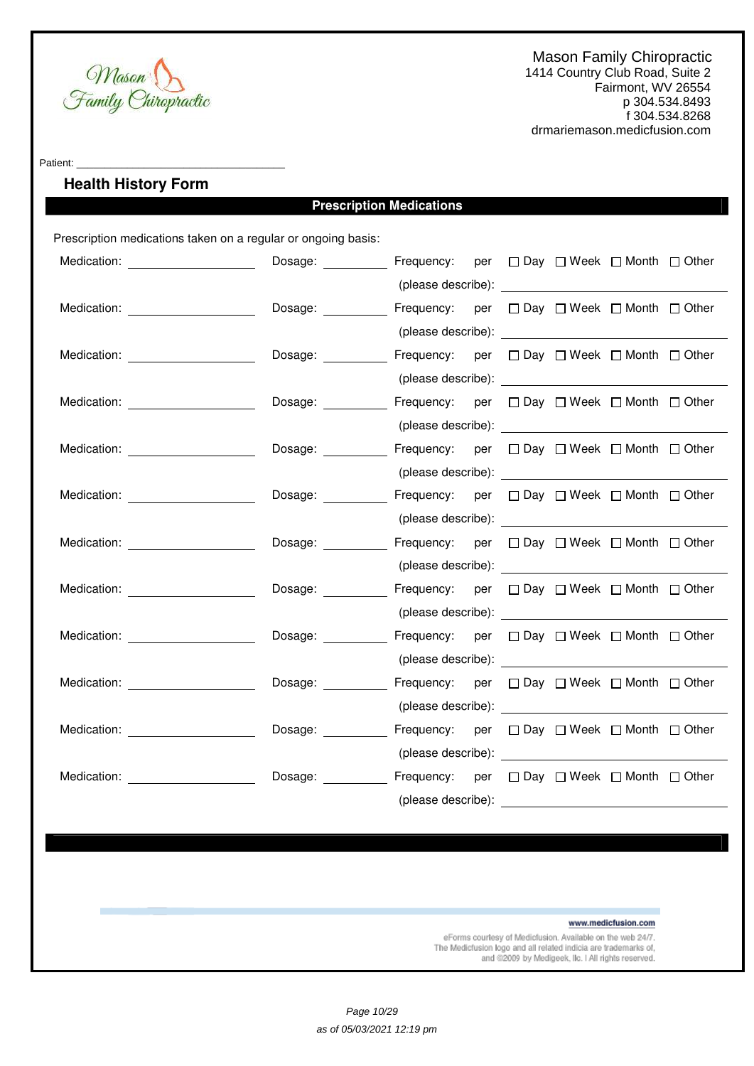

Patient:

# **Health History Form**

# **Prescription Medications**

Prescription medications taken on a regular or ongoing basis:

| Medication: ______________________                   | Dosage: Frequency: per □ Day □ Week □ Month □ Other             |                                                                                                                                                                                                                                      |  |  |  |
|------------------------------------------------------|-----------------------------------------------------------------|--------------------------------------------------------------------------------------------------------------------------------------------------------------------------------------------------------------------------------------|--|--|--|
|                                                      |                                                                 |                                                                                                                                                                                                                                      |  |  |  |
| Medication: ______________________                   | Dosage: ___________ Frequency: per □ Day □ Week □ Month □ Other |                                                                                                                                                                                                                                      |  |  |  |
|                                                      |                                                                 |                                                                                                                                                                                                                                      |  |  |  |
| Medication: <u>www.communityments.communityments</u> | Dosage: ___________ Frequency: per □ Day □ Week □ Month □ Other |                                                                                                                                                                                                                                      |  |  |  |
|                                                      |                                                                 |                                                                                                                                                                                                                                      |  |  |  |
| Medication: New York Discovery Medication:           | Dosage: Frequency: per □ Day □ Week □ Month □ Other             |                                                                                                                                                                                                                                      |  |  |  |
|                                                      |                                                                 |                                                                                                                                                                                                                                      |  |  |  |
| Medication: ______________________                   | Dosage: ___________ Frequency: per □ Day □ Week □ Month □ Other |                                                                                                                                                                                                                                      |  |  |  |
|                                                      |                                                                 |                                                                                                                                                                                                                                      |  |  |  |
|                                                      | Dosage: ___________ Frequency: per □ Day □ Week □ Month □ Other |                                                                                                                                                                                                                                      |  |  |  |
|                                                      |                                                                 |                                                                                                                                                                                                                                      |  |  |  |
| Medication: <b>Example 2019</b>                      | Dosage: Frequency: per □ Day □ Week □ Month □ Other             |                                                                                                                                                                                                                                      |  |  |  |
|                                                      |                                                                 | (please describe): <u>example</u> and the set of the set of the set of the set of the set of the set of the set of the set of the set of the set of the set of the set of the set of the set of the set of the set of the set of th  |  |  |  |
| Medication: _______________________                  | Dosage: ___________ Frequency: per □ Day □ Week □ Month □ Other |                                                                                                                                                                                                                                      |  |  |  |
|                                                      |                                                                 |                                                                                                                                                                                                                                      |  |  |  |
| Medication: _______________________                  | Dosage:                                                         | Frequency: per □ Day □ Week □ Month □ Other                                                                                                                                                                                          |  |  |  |
|                                                      |                                                                 |                                                                                                                                                                                                                                      |  |  |  |
| Medication: New York Dental Property Assembly        | Dosage: ___________ Frequency: per □ Day □ Week □ Month □ Other |                                                                                                                                                                                                                                      |  |  |  |
|                                                      |                                                                 | (please describe): <u>example and the set of the set of the set of the set of the set of the set of the set of the set of the set of the set of the set of the set of the set of the set of the set of the set of the set of the</u> |  |  |  |
| Medication: _______________________                  | Dosage: ___________ Frequency: per □ Day □ Week □ Month □ Other |                                                                                                                                                                                                                                      |  |  |  |
|                                                      |                                                                 |                                                                                                                                                                                                                                      |  |  |  |
| Medication: Network and Security Medication:         | Dosage:                                                         | Frequency: per □ Day □ Week □ Month □ Other                                                                                                                                                                                          |  |  |  |
|                                                      |                                                                 | (please describe):                                                                                                                                                                                                                   |  |  |  |

www.medicfusion.com

eForms courtesy of Medicfusion. Available on the web 24/7. The Medicfusion logo and all related indicia are trademarks of, and @2009 by Medigeek, Ilc. I All rights reserved.

Page 10/29 as of 05/03/2021 12:19 pm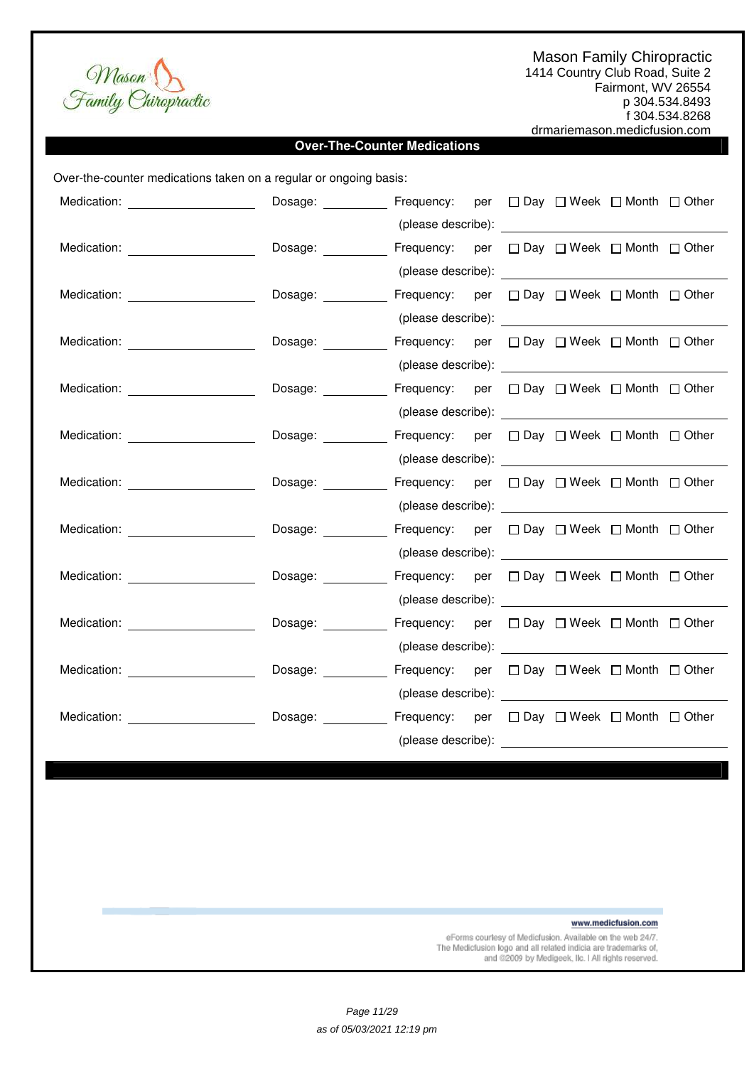

drmariemason.medicfusion.com

1414 Country Club Road, Suite 2 Fairmont, WV 26554 p 304.534.8493

f 304.534.8268

Mason<br>Family Chiropractic

# **Over-The-Counter Medications**

| Over-the-counter medications taken on a regular or ongoing basis:                                                                                                                                                                    |                        |                                                                                                                                                                                                                                |  |  |
|--------------------------------------------------------------------------------------------------------------------------------------------------------------------------------------------------------------------------------------|------------------------|--------------------------------------------------------------------------------------------------------------------------------------------------------------------------------------------------------------------------------|--|--|
|                                                                                                                                                                                                                                      |                        |                                                                                                                                                                                                                                |  |  |
|                                                                                                                                                                                                                                      |                        |                                                                                                                                                                                                                                |  |  |
|                                                                                                                                                                                                                                      | Dosage: <b>Example</b> | Frequency: per □ Day □ Week □ Month □ Other                                                                                                                                                                                    |  |  |
|                                                                                                                                                                                                                                      |                        |                                                                                                                                                                                                                                |  |  |
|                                                                                                                                                                                                                                      | Dosage:                | Frequency: per □ Day □ Week □ Month □ Other                                                                                                                                                                                    |  |  |
|                                                                                                                                                                                                                                      |                        |                                                                                                                                                                                                                                |  |  |
|                                                                                                                                                                                                                                      | Dosage:                | Frequency: per □ Day □ Week □ Month □ Other                                                                                                                                                                                    |  |  |
|                                                                                                                                                                                                                                      |                        |                                                                                                                                                                                                                                |  |  |
| Medication: _________________________                                                                                                                                                                                                |                        | Dosage: __________ Frequency: per □ Day □ Week □ Month □ Other                                                                                                                                                                 |  |  |
|                                                                                                                                                                                                                                      |                        |                                                                                                                                                                                                                                |  |  |
|                                                                                                                                                                                                                                      |                        | Dosage: Frequency: per □ Day □ Week □ Month □ Other                                                                                                                                                                            |  |  |
|                                                                                                                                                                                                                                      |                        |                                                                                                                                                                                                                                |  |  |
| Medication: <u>with a series of the series of the series of the series of the series of the series of the series of the series of the series of the series of the series of the series of the series of the series of the series</u> |                        | Dosage: ___________ Frequency: per □ Day □ Week □ Month □ Other                                                                                                                                                                |  |  |
|                                                                                                                                                                                                                                      |                        |                                                                                                                                                                                                                                |  |  |
| Medication: ______________________                                                                                                                                                                                                   |                        | Dosage: ___________ Frequency: per □ Day □ Week □ Month □ Other                                                                                                                                                                |  |  |
|                                                                                                                                                                                                                                      |                        |                                                                                                                                                                                                                                |  |  |
| Medication: New York Products and American Section 2014                                                                                                                                                                              | Dosage:                | Frequency: per □ Day □ Week □ Month □ Other                                                                                                                                                                                    |  |  |
|                                                                                                                                                                                                                                      |                        |                                                                                                                                                                                                                                |  |  |
| Medication: New York Products and American Section 1997                                                                                                                                                                              | Dosage: _________      | Frequency: per □ Day □ Week □ Month □ Other                                                                                                                                                                                    |  |  |
|                                                                                                                                                                                                                                      |                        | (please describe): expression of the set of the set of the set of the set of the set of the set of the set of the set of the set of the set of the set of the set of the set of the set of the set of the set of the set of th |  |  |
| Medication: ______________________                                                                                                                                                                                                   | Dosage: _________      | Frequency: per □ Day □ Week □ Month □ Other                                                                                                                                                                                    |  |  |
|                                                                                                                                                                                                                                      |                        |                                                                                                                                                                                                                                |  |  |
| Medication: New York Products and Products and Products and Products and Products and Products and Products and Products and Products and Products and Products and Products and Products and Products and Products and Produc       | Dosage:                | Frequency: per □ Day □ Week □ Month □ Other                                                                                                                                                                                    |  |  |
|                                                                                                                                                                                                                                      |                        |                                                                                                                                                                                                                                |  |  |
|                                                                                                                                                                                                                                      |                        |                                                                                                                                                                                                                                |  |  |

www.medicfusion.com

eForms courtesy of Medicfusion. Available on the web 24/7. The Medictusion logo and all related indicia are trademarks of,<br>and @2009 by Medigeek, IIc. I All rights reserved.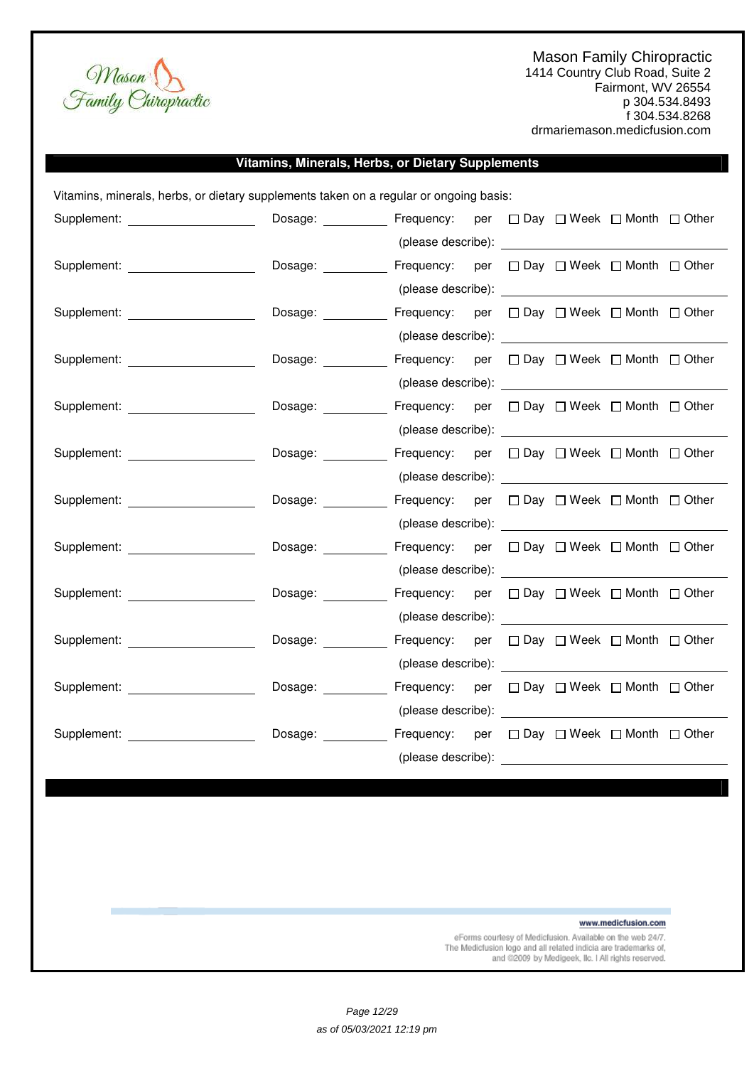

1414 Country Club Road, Suite 2 Fairmont, WV 26554 p 304.534.8493 f 304.534.8268 drmariemason.medicfusion.com

# **Vitamins, Minerals, Herbs, or Dietary Supplements**

Vitamins, minerals, herbs, or dietary supplements taken on a regular or ongoing basis:

| Supplement: _____________________                                                                                                                                                                                              | Dosage: Frequency: per □ Day □ Week □ Month □ Other             |                                                                                                                                                                                                                                |  |  |  |
|--------------------------------------------------------------------------------------------------------------------------------------------------------------------------------------------------------------------------------|-----------------------------------------------------------------|--------------------------------------------------------------------------------------------------------------------------------------------------------------------------------------------------------------------------------|--|--|--|
|                                                                                                                                                                                                                                |                                                                 |                                                                                                                                                                                                                                |  |  |  |
| Supplement: ______________________                                                                                                                                                                                             | Dosage:                                                         | Frequency: per □ Day □ Week □ Month □ Other                                                                                                                                                                                    |  |  |  |
|                                                                                                                                                                                                                                |                                                                 |                                                                                                                                                                                                                                |  |  |  |
| Supplement: The contract of the contract of the contract of the contract of the contract of the contract of the contract of the contract of the contract of the contract of the contract of the contract of the contract of th | Dosage:                                                         | Frequency: per □ Day □ Week □ Month □ Other                                                                                                                                                                                    |  |  |  |
|                                                                                                                                                                                                                                |                                                                 |                                                                                                                                                                                                                                |  |  |  |
| Supplement: _____________________                                                                                                                                                                                              | Dosage:                                                         | Frequency: per □ Day □ Week □ Month □ Other                                                                                                                                                                                    |  |  |  |
|                                                                                                                                                                                                                                |                                                                 |                                                                                                                                                                                                                                |  |  |  |
| Supplement: ____________________                                                                                                                                                                                               | Dosage: <b>Example</b>                                          | Frequency: per $\Box$ Day $\Box$ Week $\Box$ Month $\Box$ Other                                                                                                                                                                |  |  |  |
|                                                                                                                                                                                                                                |                                                                 |                                                                                                                                                                                                                                |  |  |  |
| Supplement: ______________________                                                                                                                                                                                             | Dosage: <u>__________</u>                                       | Frequency: per □ Day □ Week □ Month □ Other                                                                                                                                                                                    |  |  |  |
|                                                                                                                                                                                                                                |                                                                 | (please describe): expansion of the set of the set of the set of the set of the set of the set of the set of the set of the set of the set of the set of the set of the set of the set of the set of the set of the set of the |  |  |  |
| Supplement: explorer and the state of the state of the state of the state of the state of the state of the state of the state of the state of the state of the state of the state of the state of the state of the state of th | Dosage:                                                         | Frequency: per □ Day □ Week □ Month □ Other                                                                                                                                                                                    |  |  |  |
|                                                                                                                                                                                                                                |                                                                 |                                                                                                                                                                                                                                |  |  |  |
| Supplement: The contract of the contract of the contract of the contract of the contract of the contract of the contract of the contract of the contract of the contract of the contract of the contract of the contract of th | Dosage:                                                         | Frequency: per □ Day □ Week □ Month □ Other                                                                                                                                                                                    |  |  |  |
|                                                                                                                                                                                                                                |                                                                 | (please describe): example and all the set of the set of the set of the set of the set of the set of the set o                                                                                                                 |  |  |  |
|                                                                                                                                                                                                                                | Dosage:                                                         | Frequency: per □ Day □ Week □ Month □ Other                                                                                                                                                                                    |  |  |  |
|                                                                                                                                                                                                                                |                                                                 |                                                                                                                                                                                                                                |  |  |  |
|                                                                                                                                                                                                                                | Dosage:                                                         | Frequency: per □ Day □ Week □ Month □ Other                                                                                                                                                                                    |  |  |  |
|                                                                                                                                                                                                                                |                                                                 |                                                                                                                                                                                                                                |  |  |  |
| Supplement: <u>__________________</u> ___                                                                                                                                                                                      | Dosage: Frequency: per □ Day □ Week □ Month □ Other             |                                                                                                                                                                                                                                |  |  |  |
|                                                                                                                                                                                                                                |                                                                 | (please describe): expression of the set of the set of the set of the set of the set of the set of the set of the set of the set of the set of the set of the set of the set of the set of the set of the set of the set of th |  |  |  |
|                                                                                                                                                                                                                                | Dosage: ___________ Frequency: per □ Day □ Week □ Month □ Other |                                                                                                                                                                                                                                |  |  |  |
|                                                                                                                                                                                                                                |                                                                 | (please describe):                                                                                                                                                                                                             |  |  |  |

www.medicfusion.com

eForms courtesy of Medicfusion. Available on the web 24/7. The Medicfusion logo and all related indicia are trademarks of, and @2009 by Medigeek, Ilc. I All rights reserved.

Page 12/29 as of 05/03/2021 12:19 pm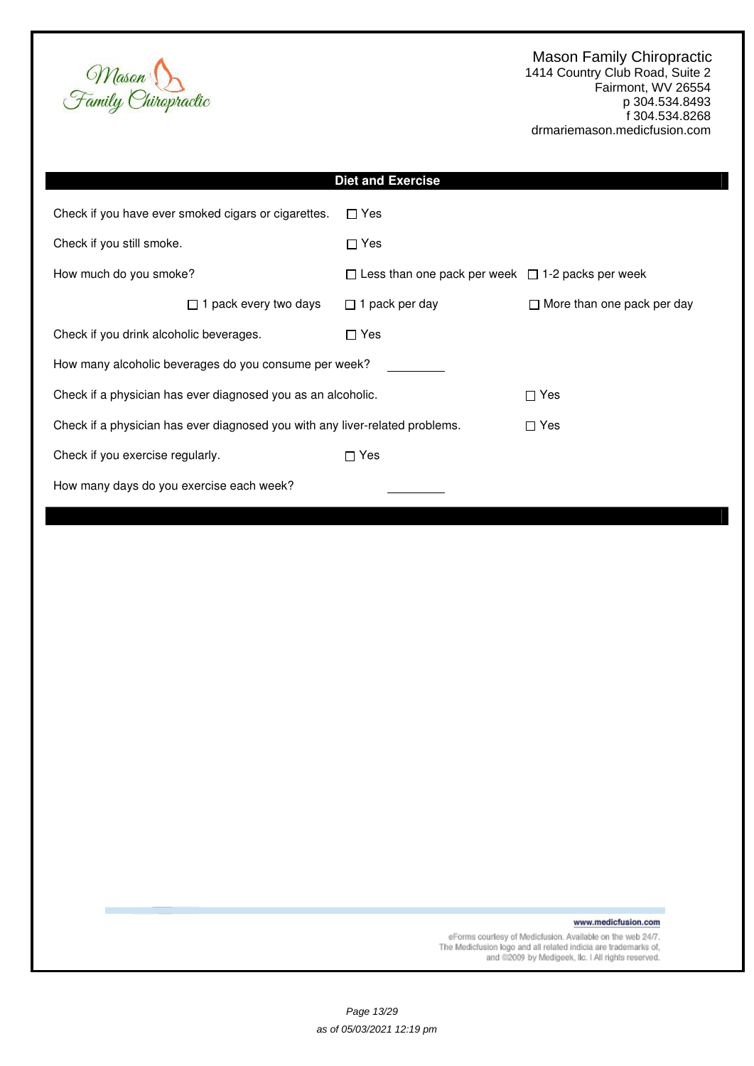

|                                          |                                                                              | <b>Diet and Exercise</b>                                     |                                   |  |  |
|------------------------------------------|------------------------------------------------------------------------------|--------------------------------------------------------------|-----------------------------------|--|--|
|                                          | Check if you have ever smoked cigars or cigarettes.                          | $\Box$ Yes                                                   |                                   |  |  |
| Check if you still smoke.                |                                                                              | $\Box$ Yes                                                   |                                   |  |  |
| How much do you smoke?                   |                                                                              | $\Box$ Less than one pack per week $\Box$ 1-2 packs per week |                                   |  |  |
|                                          | 1 pack every two days<br>$\Box$                                              | $\Box$ 1 pack per day                                        | $\Box$ More than one pack per day |  |  |
| Check if you drink alcoholic beverages.  |                                                                              | $\Box$ Yes                                                   |                                   |  |  |
|                                          | How many alcoholic beverages do you consume per week?                        |                                                              |                                   |  |  |
|                                          | Check if a physician has ever diagnosed you as an alcoholic.                 |                                                              | $\sqcap$ Yes                      |  |  |
|                                          | Check if a physician has ever diagnosed you with any liver-related problems. |                                                              | $\Box$ Yes                        |  |  |
| Check if you exercise regularly.         |                                                                              | $\Box$ Yes                                                   |                                   |  |  |
| How many days do you exercise each week? |                                                                              |                                                              |                                   |  |  |

www.medicfusion.com

eForms courtesy of Medicfusion. Available on the web 24/7.<br>The Medicfusion logo and all related indicia are trademarks of,<br>and @2009 by Medigeek, Ilc. I All rights reserved.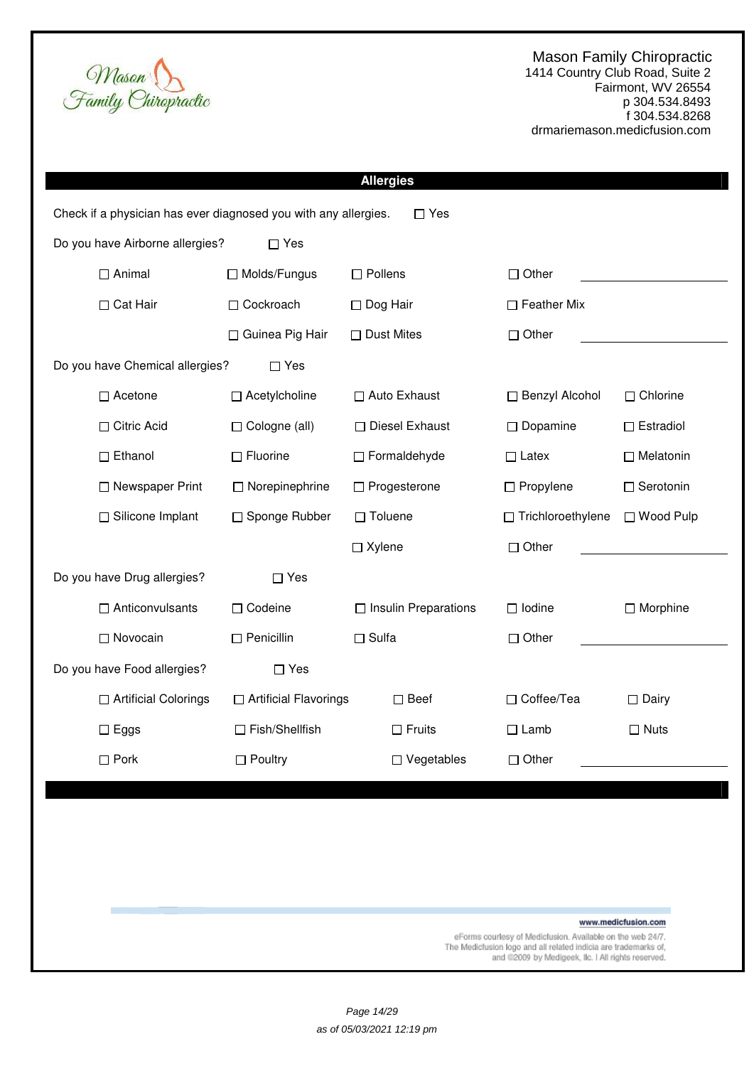1414 Country Club Road, Suite 2 Fairmont, WV 26554 p 304.534.8493 f 304.534.8268 drmariemason.medicfusion.com

|                                                                 |                         | <b>Allergies</b>            |                          |                     |
|-----------------------------------------------------------------|-------------------------|-----------------------------|--------------------------|---------------------|
| Check if a physician has ever diagnosed you with any allergies. |                         | $\Box$ Yes                  |                          |                     |
| Do you have Airborne allergies?                                 | $\Box$ Yes              |                             |                          |                     |
| $\Box$ Animal                                                   | □ Molds/Fungus          | $\square$ Pollens           | $\Box$ Other             |                     |
| □ Cat Hair                                                      | □ Cockroach             | $\Box$ Dog Hair             | $\Box$ Feather Mix       |                     |
|                                                                 | □ Guinea Pig Hair       | $\Box$ Dust Mites           | $\Box$ Other             |                     |
| Do you have Chemical allergies?                                 | $\Box$ Yes              |                             |                          |                     |
| □ Acetone                                                       | $\Box$ Acetylcholine    | □ Auto Exhaust              | □ Benzyl Alcohol         | $\Box$ Chlorine     |
| □ Citric Acid                                                   | □ Cologne (all)         | □ Diesel Exhaust            | $\Box$ Dopamine          | $\Box$ Estradiol    |
| $\Box$ Ethanol                                                  | $\Box$ Fluorine         | □ Formaldehyde              | $\Box$ Latex             | $\Box$ Melatonin    |
| □ Newspaper Print                                               | $\Box$ Norepinephrine   | □ Progesterone              | $\Box$ Propylene         | □ Serotonin         |
| □ Silicone Implant                                              | □ Sponge Rubber         | $\Box$ Toluene              | $\Box$ Trichloroethylene | □ Wood Pulp         |
|                                                                 |                         | $\Box$ Xylene               | $\Box$ Other             |                     |
| Do you have Drug allergies?                                     | $\Box$ Yes              |                             |                          |                     |
| $\Box$ Anticonvulsants                                          | □ Codeine               | $\Box$ Insulin Preparations | $\Box$ Iodine            | $\Box$ Morphine     |
| □ Novocain                                                      | $\Box$ Penicillin       | $\Box$ Sulfa                | $\Box$ Other             |                     |
| Do you have Food allergies?                                     | $\Box$ Yes              |                             |                          |                     |
| □ Artificial Colorings                                          | □ Artificial Flavorings | $\square$ Beef              | □ Coffee/Tea             | $\square$ Dairy     |
| $\Box$ Eggs                                                     | $\Box$ Fish/Shellfish   | $\Box$ Fruits               | $\Box$ Lamb              | $\Box$ Nuts         |
| $\square$ Pork                                                  | $\Box$ Poultry          | $\Box$ Vegetables           | $\Box$ Other             |                     |
|                                                                 |                         |                             |                          |                     |
|                                                                 |                         |                             |                          |                     |
|                                                                 |                         |                             |                          |                     |
|                                                                 |                         |                             |                          |                     |
|                                                                 |                         |                             |                          | www.medicfusion.com |

Mason<br>Family Chiropractic

eForms courtesy of Medicfusion. Available on the web 24/7.<br>The Medicfusion logo and all related indicia are trademarks of,<br>and @2009 by Medigeek, Ilc. I All rights reserved.

Page 14/29 as of 05/03/2021 12:19 pm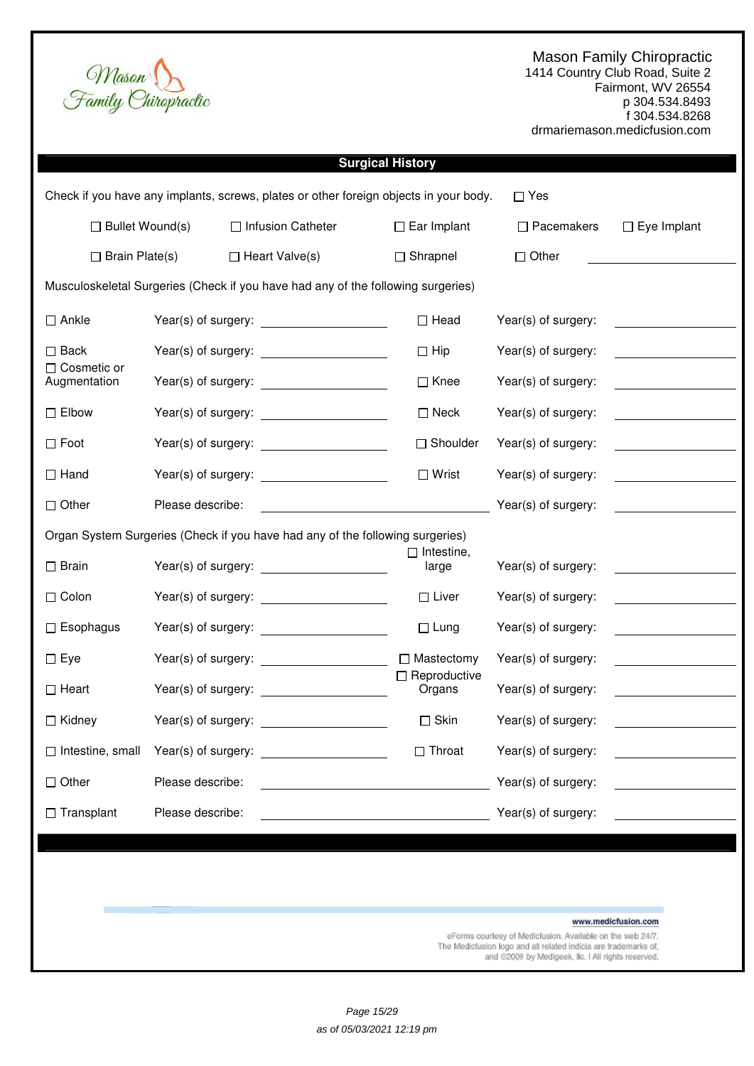1414 Country Club Road, Suite 2 Fairmont, WV 26554 p 304.534.8493 f 304.534.8268 drmariemason.medicfusion.com

| Mason |                     |
|-------|---------------------|
|       | Family Chiropractic |

| <b>Surgical History</b>                                                                             |                     |                                                                                                                        |                               |                     |                                                |  |  |  |
|-----------------------------------------------------------------------------------------------------|---------------------|------------------------------------------------------------------------------------------------------------------------|-------------------------------|---------------------|------------------------------------------------|--|--|--|
| Check if you have any implants, screws, plates or other foreign objects in your body.<br>$\Box$ Yes |                     |                                                                                                                        |                               |                     |                                                |  |  |  |
| $\Box$ Bullet Wound(s)<br>□ Infusion Catheter                                                       |                     | $\Box$ Ear Implant                                                                                                     | $\Box$ Pacemakers             | $\Box$ Eye Implant  |                                                |  |  |  |
| $\Box$ Brain Plate(s)                                                                               |                     | $\Box$ Heart Valve(s)                                                                                                  | $\Box$ Shrapnel               | $\Box$ Other        |                                                |  |  |  |
|                                                                                                     |                     | Musculoskeletal Surgeries (Check if you have had any of the following surgeries)                                       |                               |                     |                                                |  |  |  |
| $\Box$ Ankle                                                                                        |                     | Year(s) of surgery:                                                                                                    | $\Box$ Head                   | Year(s) of surgery: |                                                |  |  |  |
| $\square$ Back                                                                                      |                     |                                                                                                                        | $\Box$ Hip                    | Year(s) of surgery: |                                                |  |  |  |
| □ Cosmetic or<br>Augmentation                                                                       |                     |                                                                                                                        | $\Box$ Knee                   | Year(s) of surgery: |                                                |  |  |  |
| $\square$ Elbow                                                                                     |                     |                                                                                                                        | $\Box$ Neck                   | Year(s) of surgery: |                                                |  |  |  |
| $\square$ Foot                                                                                      |                     |                                                                                                                        | □ Shoulder                    | Year(s) of surgery: | <u>and the state of the state of the state</u> |  |  |  |
| $\Box$ Hand                                                                                         |                     | Year(s) of surgery: ______________________                                                                             | $\Box$ Wrist                  | Year(s) of surgery: | <u>and the state of the state</u>              |  |  |  |
| $\Box$ Other                                                                                        | Please describe:    |                                                                                                                        |                               | Year(s) of surgery: |                                                |  |  |  |
|                                                                                                     |                     | Organ System Surgeries (Check if you have had any of the following surgeries)                                          |                               |                     |                                                |  |  |  |
| $\square$ Brain                                                                                     |                     | Year(s) of surgery: <u>contained</u>                                                                                   | $\Box$ Intestine,<br>large    | Year(s) of surgery: |                                                |  |  |  |
| $\Box$ Colon                                                                                        |                     |                                                                                                                        | $\Box$ Liver                  | Year(s) of surgery: |                                                |  |  |  |
| $\Box$ Esophagus                                                                                    |                     | Year(s) of surgery:                                                                                                    | $\Box$ Lung                   | Year(s) of surgery: |                                                |  |  |  |
| $\square$ Eye                                                                                       |                     |                                                                                                                        | $\Box$ Mastectomy             | Year(s) of surgery: |                                                |  |  |  |
| $\Box$ Heart                                                                                        |                     |                                                                                                                        | $\Box$ Reproductive<br>Organs | Year(s) of surgery: |                                                |  |  |  |
| □ Kidney                                                                                            |                     |                                                                                                                        | $\square$ Skin                | Year(s) of surgery: |                                                |  |  |  |
| $\Box$ Intestine, small                                                                             | Year(s) of surgery: |                                                                                                                        | $\Box$ Throat                 | Year(s) of surgery: |                                                |  |  |  |
| $\Box$ Other                                                                                        | Please describe:    | <u> 1989 - Johann Stoff, deutscher Stoffen und der Stoffen und der Stoffen und der Stoffen und der Stoffen und der</u> |                               | Year(s) of surgery: | the control of the control of the              |  |  |  |
| $\Box$ Transplant                                                                                   | Please describe:    |                                                                                                                        |                               | Year(s) of surgery: |                                                |  |  |  |
|                                                                                                     |                     |                                                                                                                        |                               |                     |                                                |  |  |  |
|                                                                                                     |                     |                                                                                                                        |                               |                     |                                                |  |  |  |
|                                                                                                     |                     |                                                                                                                        |                               |                     |                                                |  |  |  |
|                                                                                                     |                     |                                                                                                                        |                               |                     | www.medicfusion.com                            |  |  |  |

eForms courtesy of Medicfusion. Available on the web 24/7.<br>The Medicfusion logo and all related indicia are trademarks of,<br>and @2009 by Medigeek, IIc. I All rights reserved.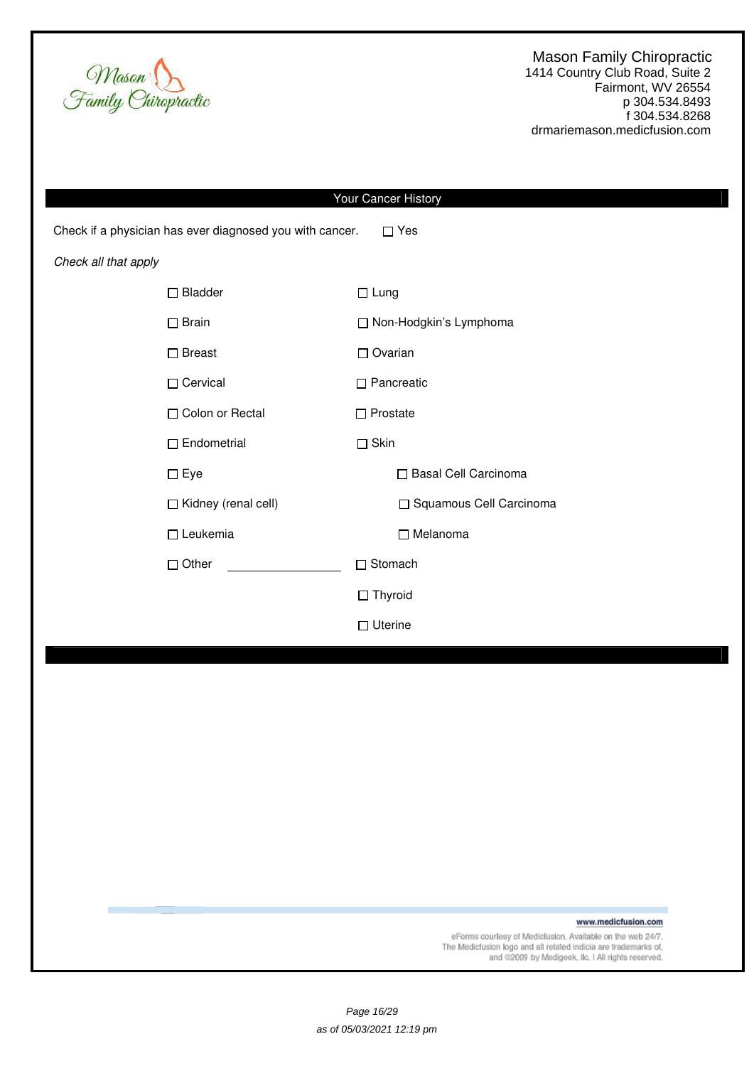

1414 Country Club Road, Suite 2 Fairmont, WV 26554 p 304.534.8493 f 304.534.8268 drmariemason.medicfusion.com

| Your Cancer History                                                       |                           |  |  |  |  |  |
|---------------------------------------------------------------------------|---------------------------|--|--|--|--|--|
| Check if a physician has ever diagnosed you with cancer.<br>$\square$ Yes |                           |  |  |  |  |  |
| Check all that apply                                                      |                           |  |  |  |  |  |
| $\Box$ Bladder                                                            | $\Box$ Lung               |  |  |  |  |  |
| $\Box$ Brain                                                              | □ Non-Hodgkin's Lymphoma  |  |  |  |  |  |
| $\square$ Breast                                                          | $\Box$ Ovarian            |  |  |  |  |  |
| □ Cervical                                                                | $\Box$ Pancreatic         |  |  |  |  |  |
| □ Colon or Rectal                                                         | $\Box$ Prostate           |  |  |  |  |  |
| $\Box$ Endometrial                                                        | $\Box$ Skin               |  |  |  |  |  |
| $\Box$ Eye                                                                | □ Basal Cell Carcinoma    |  |  |  |  |  |
| □ Kidney (renal cell)                                                     | □ Squamous Cell Carcinoma |  |  |  |  |  |
| $\Box$ Leukemia                                                           | $\Box$ Melanoma           |  |  |  |  |  |
| $\Box$ Other                                                              | □ Stomach                 |  |  |  |  |  |
|                                                                           | $\Box$ Thyroid            |  |  |  |  |  |
|                                                                           | $\Box$ Uterine            |  |  |  |  |  |
|                                                                           |                           |  |  |  |  |  |
|                                                                           |                           |  |  |  |  |  |

www.medicfusion.com

eForms courtesy of Medicfusion. Available on the web 24/7.<br>The Medicfusion logo and all related indicia are trademarks of,<br>and @2009 by Medigeek, Ilc. I All rights reserved.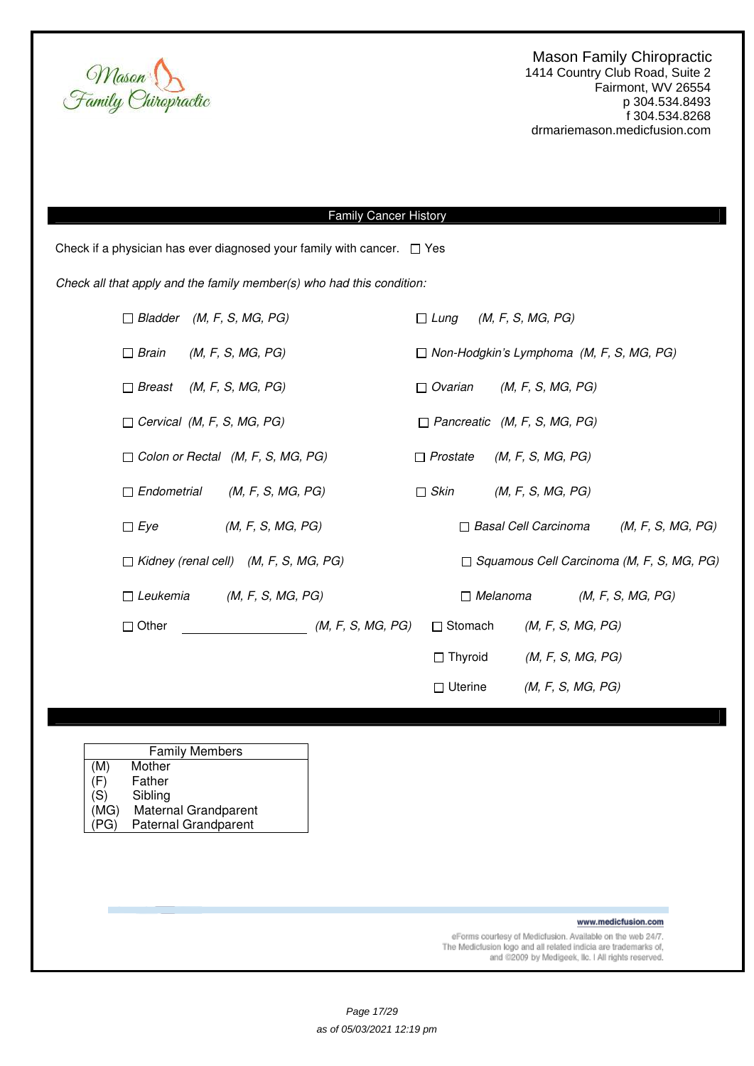

# Family Cancer History

Check if a physician has ever diagnosed your family with cancer.  $\Box$  Yes

Check all that apply and the family member(s) who had this condition:

|                                   | $\Box$ Bladder (M, F, S, MG, PG)             |                   | $\Box$ Lung     |                 | (M, F, S, MG, PG)                                |                   |  |
|-----------------------------------|----------------------------------------------|-------------------|-----------------|-----------------|--------------------------------------------------|-------------------|--|
| $\Box$ Brain                      | (M, F, S, MG, PG)                            |                   |                 |                 | $\Box$ Non-Hodgkin's Lymphoma (M, F, S, MG, PG)  |                   |  |
| $\Box$ Breast                     | (M, F, S, MG, PG)                            |                   | $\Box$ Ovarian  |                 | (M, F, S, MG, PG)                                |                   |  |
| $\Box$ Cervical (M, F, S, MG, PG) |                                              |                   |                 |                 | $\Box$ Pancreatic (M, F, S, MG, PG)              |                   |  |
|                                   | $\Box$ Colon or Rectal (M, F, S, MG, PG)     |                   | $\Box$ Prostate |                 | (M, F, S, MG, PG)                                |                   |  |
| $\Box$ Endometrial                | (M, F, S, MG, PG)                            |                   | $\Box$ Skin     |                 | (M, F, S, MG, PG)                                |                   |  |
| $\Box$ Eye                        | (M, F, S, MG, PG)                            |                   |                 |                 | $\Box$ Basal Cell Carcinoma                      | (M, F, S, MG, PG) |  |
|                                   | $\Box$ Kidney (renal cell) (M, F, S, MG, PG) |                   |                 |                 | $\Box$ Squamous Cell Carcinoma (M, F, S, MG, PG) |                   |  |
| $\Box$ Leukemia                   | (M, F, S, MG, PG)                            |                   |                 | $\Box$ Melanoma |                                                  | (M, F, S, MG, PG) |  |
| $\Box$ Other                      |                                              | (M, F, S, MG, PG) | $\Box$ Stomach  |                 | (M, F, S, MG, PG)                                |                   |  |
|                                   |                                              |                   | $\Box$ Thyroid  |                 | (M, F, S, MG, PG)                                |                   |  |
|                                   |                                              |                   | $\Box$ Uterine  |                 | (M, F, S, MG, PG)                                |                   |  |

| <b>Family Members</b> |                             |  |  |  |  |  |
|-----------------------|-----------------------------|--|--|--|--|--|
| (M)                   | Mother                      |  |  |  |  |  |
| (F)                   | Father                      |  |  |  |  |  |
| (S)                   | Sibling                     |  |  |  |  |  |
| (MG)                  | Maternal Grandparent        |  |  |  |  |  |
| PG)                   | <b>Paternal Grandparent</b> |  |  |  |  |  |

www.medicfusion.com

eForms courtesy of Medicfusion. Available on the web 24/7. The Medictusion logo and all related indicia are trademarks of,<br>and @2009 by Medigeek, IIc. I All rights reserved.

Page 17/29 as of 05/03/2021 12:19 pm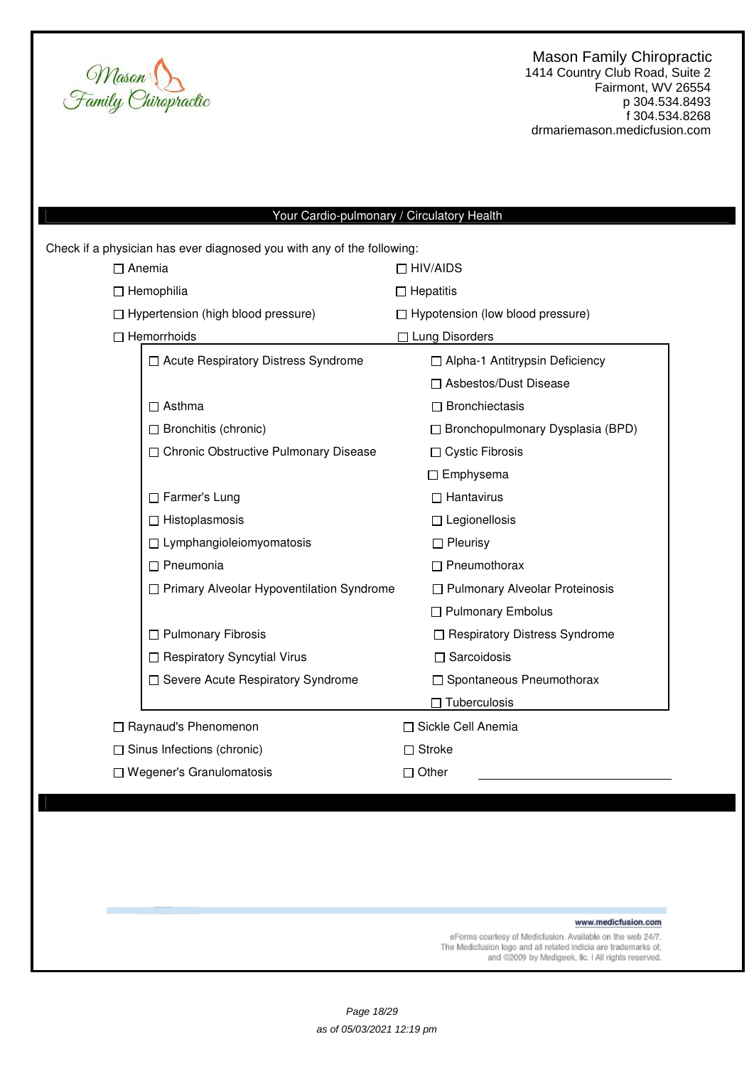

# Your Cardio-pulmonary / Circulatory Health

|                        | Check if a physician has ever diagnosed you with any of the following: |                                         |  |  |  |  |
|------------------------|------------------------------------------------------------------------|-----------------------------------------|--|--|--|--|
| $\Box$ Anemia          |                                                                        | $\Box$ HIV/AIDS                         |  |  |  |  |
|                        | $\Box$ Hemophilia                                                      | $\Box$ Hepatitis                        |  |  |  |  |
|                        | □ Hypertension (high blood pressure)                                   | □ Hypotension (low blood pressure)      |  |  |  |  |
|                        | $\Box$ Hemorrhoids                                                     | □ Lung Disorders                        |  |  |  |  |
|                        | □ Acute Respiratory Distress Syndrome                                  | □ Alpha-1 Antitrypsin Deficiency        |  |  |  |  |
|                        |                                                                        | □ Asbestos/Dust Disease                 |  |  |  |  |
|                        | Asthma                                                                 | $\Box$ Bronchiectasis                   |  |  |  |  |
|                        | $\Box$ Bronchitis (chronic)                                            | $\Box$ Bronchopulmonary Dysplasia (BPD) |  |  |  |  |
|                        | □ Chronic Obstructive Pulmonary Disease                                | □ Cystic Fibrosis                       |  |  |  |  |
|                        |                                                                        | $\Box$ Emphysema                        |  |  |  |  |
|                        | □ Farmer's Lung                                                        | $\Box$ Hantavirus                       |  |  |  |  |
|                        | □ Histoplasmosis                                                       | $\Box$ Legionellosis                    |  |  |  |  |
|                        | $\Box$ Lymphangioleiomyomatosis                                        | $\Box$ Pleurisy                         |  |  |  |  |
|                        | $\Box$ Pneumonia                                                       | $\Box$ Pneumothorax                     |  |  |  |  |
|                        | □ Primary Alveolar Hypoventilation Syndrome                            | □ Pulmonary Alveolar Proteinosis        |  |  |  |  |
|                        |                                                                        | $\Box$ Pulmonary Embolus                |  |  |  |  |
|                        | □ Pulmonary Fibrosis                                                   | □ Respiratory Distress Syndrome         |  |  |  |  |
|                        | □ Respiratory Syncytial Virus                                          | $\Box$ Sarcoidosis                      |  |  |  |  |
|                        | □ Severe Acute Respiratory Syndrome                                    | □ Spontaneous Pneumothorax              |  |  |  |  |
|                        |                                                                        | $\Box$ Tuberculosis                     |  |  |  |  |
| □ Raynaud's Phenomenon |                                                                        | □ Sickle Cell Anemia                    |  |  |  |  |
|                        | $\Box$ Sinus Infections (chronic)                                      | $\Box$ Stroke                           |  |  |  |  |
|                        | $\Box$ Wegener's Granulomatosis                                        | $\Box$ Other                            |  |  |  |  |
|                        |                                                                        |                                         |  |  |  |  |

www.medicfusion.com

eForms courtesy of Medicfusion. Available on the web 24/7.<br>The Medicfusion logo and all related indicia are trademarks of,<br>and @2009 by Medigeek, IIc. I All rights reserved.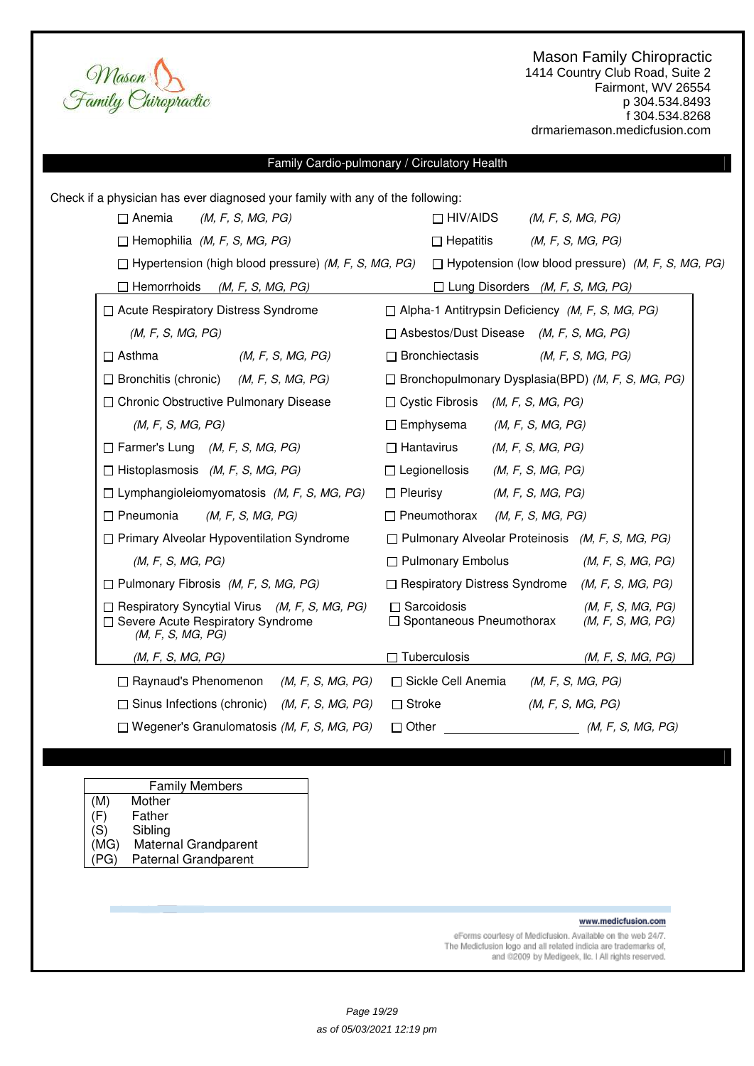Mason<br>Family Chiropractic

# Family Cardio-pulmonary / Circulatory Health

| Check if a physician has ever diagnosed your family with any of the following:                                   |                                                                                                                       |  |  |  |  |  |
|------------------------------------------------------------------------------------------------------------------|-----------------------------------------------------------------------------------------------------------------------|--|--|--|--|--|
| $\Box$ Anemia<br>(M, F, S, MG, PG)                                                                               | $\Box$ HIV/AIDS<br>(M, F, S, MG, PG)                                                                                  |  |  |  |  |  |
| $\Box$ Hemophilia (M, F, S, MG, PG)                                                                              | $\Box$ Hepatitis<br>(M, F, S, MG, PG)                                                                                 |  |  |  |  |  |
|                                                                                                                  | $\Box$ Hypertension (high blood pressure) (M, F, S, MG, PG) $\Box$ Hypotension (low blood pressure) (M, F, S, MG, PG) |  |  |  |  |  |
| $\Box$ Hemorrhoids<br>(M, F, S, MG, PG)                                                                          | $\Box$ Lung Disorders (M, F, S, MG, PG)                                                                               |  |  |  |  |  |
| □ Acute Respiratory Distress Syndrome                                                                            | □ Alpha-1 Antitrypsin Deficiency (M, F, S, MG, PG)                                                                    |  |  |  |  |  |
| (M, F, S, MG, PG)                                                                                                | $\Box$ Asbestos/Dust Disease (M, F, S, MG, PG)                                                                        |  |  |  |  |  |
| $\Box$ Asthma<br>(M, F, S, MG, PG)                                                                               | $\Box$ Bronchiectasis<br>(M, F, S, MG, PG)                                                                            |  |  |  |  |  |
| $\Box$ Bronchitis (chronic) ( <i>M, F, S, MG, PG</i> )                                                           | $\Box$ Bronchopulmonary Dysplasia(BPD) (M, F, S, MG, PG)                                                              |  |  |  |  |  |
| □ Chronic Obstructive Pulmonary Disease                                                                          | $\Box$ Cystic Fibrosis (M, F, S, MG, PG)                                                                              |  |  |  |  |  |
| (M, F, S, MG, PG)                                                                                                | $\Box$ Emphysema<br>(M, F, S, MG, PG)                                                                                 |  |  |  |  |  |
| $\Box$ Farmer's Lung (M, F, S, MG, PG)                                                                           | $\Box$ Hantavirus<br>(M, F, S, MG, PG)                                                                                |  |  |  |  |  |
| $\Box$ Histoplasmosis (M, F, S, MG, PG)                                                                          | $\Box$ Legionellosis<br>(M, F, S, MG, PG)                                                                             |  |  |  |  |  |
| $\Box$ Lymphangioleiomyomatosis (M, F, S, MG, PG)                                                                | $\Box$ Pleurisy<br>(M, F, S, MG, PG)                                                                                  |  |  |  |  |  |
| $\Box$ Pneumonia<br>(M, F, S, MG, PG)                                                                            | $\Box$ Pneumothorax<br>(M, F, S, MG, PG)                                                                              |  |  |  |  |  |
| $\Box$ Primary Alveolar Hypoventilation Syndrome                                                                 | $\Box$ Pulmonary Alveolar Proteinosis (M, F, S, MG, PG)                                                               |  |  |  |  |  |
| (M, F, S, MG, PG)                                                                                                | $\Box$ Pulmonary Embolus<br>(M, F, S, MG, PG)                                                                         |  |  |  |  |  |
| $\Box$ Pulmonary Fibrosis (M, F, S, MG, PG)                                                                      | □ Respiratory Distress Syndrome<br>(M, F, S, MG, PG)                                                                  |  |  |  |  |  |
| $\Box$ Respiratory Syncytial Virus (M, F, S, MG, PG)<br>□ Severe Acute Respiratory Syndrome<br>(M, F, S, MG, PG) | $\Box$ Sarcoidosis<br>(M, F, S, MG, PG)<br>□ Spontaneous Pneumothorax<br>(M, F, S, MG, PG)                            |  |  |  |  |  |
| (M, F, S, MG, PG)                                                                                                | $\Box$ Tuberculosis<br>(M, F, S, MG, PG)                                                                              |  |  |  |  |  |
| □ Raynaud's Phenomenon<br>(M, F, S, MG, PG)                                                                      | □ Sickle Cell Anemia<br>(M, F, S, MG, PG)                                                                             |  |  |  |  |  |
| $\Box$ Sinus Infections (chronic) ( <i>M, F, S, MG, PG</i> )                                                     | $\Box$ Stroke<br>(M, F, S, MG, PG)                                                                                    |  |  |  |  |  |
| $\Box$ Wegener's Granulomatosis ( <i>M, F, S, MG, PG</i> )                                                       | $\Box$ Other<br>(M, F, S, MG, PG)                                                                                     |  |  |  |  |  |

# Family Members

- (M) Mother<br>(F) Father
- (F) Father Sibling
- (MG) Maternal Grandparent
- (PG) Paternal Grandparent

#### www.medicfusion.com

eForms courtesy of Medicfusion. Available on the web 24/7. The Medicfusion logo and all related indicia are trademarks of, and @2009 by Medigeek, Ilc. I All rights reserved.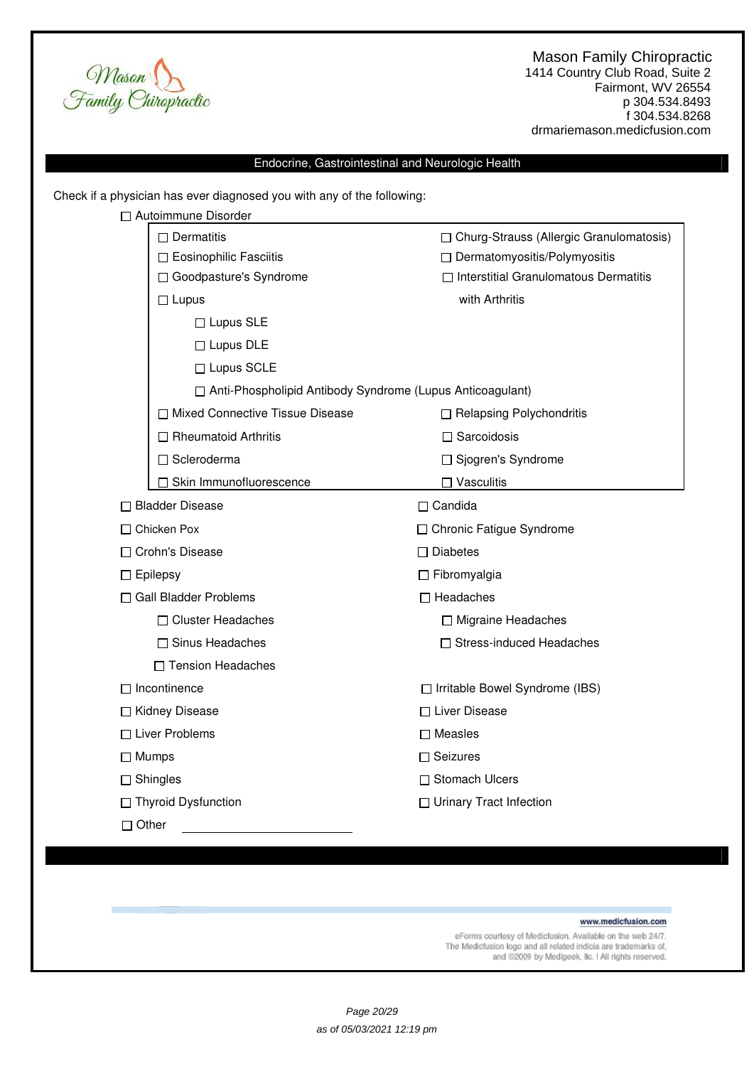

1414 Country Club Road, Suite 2 Fairmont, WV 26554 p 304.534.8493 f 304.534.8268 drmariemason.medicfusion.com

# Endocrine, Gastrointestinal and Neurologic Health

Check if a physician has ever diagnosed you with any of the following:

|                 | □ Autoimmune Disorder                                       |                                                                                |  |  |
|-----------------|-------------------------------------------------------------|--------------------------------------------------------------------------------|--|--|
|                 | $\Box$ Dermatitis                                           | □ Churg-Strauss (Allergic Granulomatosis)                                      |  |  |
|                 | □ Eosinophilic Fasciitis                                    | □ Dermatomyositis/Polymyositis<br>$\Box$ Interstitial Granulomatous Dermatitis |  |  |
|                 | □ Goodpasture's Syndrome                                    |                                                                                |  |  |
|                 | $\Box$ Lupus                                                | with Arthritis                                                                 |  |  |
|                 | $\Box$ Lupus SLE                                            |                                                                                |  |  |
|                 | $\Box$ Lupus DLE                                            |                                                                                |  |  |
|                 | □ Lupus SCLE                                                |                                                                                |  |  |
|                 | □ Anti-Phospholipid Antibody Syndrome (Lupus Anticoagulant) |                                                                                |  |  |
|                 | □ Mixed Connective Tissue Disease                           | □ Relapsing Polychondritis                                                     |  |  |
|                 | $\Box$ Rheumatoid Arthritis                                 | $\Box$ Sarcoidosis                                                             |  |  |
|                 | □ Scleroderma                                               | □ Sjogren's Syndrome                                                           |  |  |
|                 | □ Skin Immunofluorescence                                   | $\Box$ Vasculitis                                                              |  |  |
|                 | □ Bladder Disease                                           | $\Box$ Candida                                                                 |  |  |
| □ Chicken Pox   |                                                             | □ Chronic Fatigue Syndrome                                                     |  |  |
|                 | □ Crohn's Disease                                           | $\Box$ Diabetes                                                                |  |  |
| $\Box$ Epilepsy |                                                             | $\Box$ Fibromyalgia                                                            |  |  |
|                 | □ Gall Bladder Problems                                     | $\Box$ Headaches                                                               |  |  |
|                 | □ Cluster Headaches                                         | □ Migraine Headaches                                                           |  |  |
|                 | □ Sinus Headaches                                           | □ Stress-induced Headaches                                                     |  |  |
|                 | □ Tension Headaches                                         |                                                                                |  |  |
|                 | $\Box$ Incontinence                                         | □ Irritable Bowel Syndrome (IBS)                                               |  |  |
|                 | □ Kidney Disease                                            | □ Liver Disease                                                                |  |  |
|                 | □ Liver Problems                                            | $\square$ Measles                                                              |  |  |
| $\Box$ Mumps    |                                                             | $\Box$ Seizures                                                                |  |  |
| $\Box$ Shingles |                                                             | □ Stomach Ulcers                                                               |  |  |
|                 | □ Thyroid Dysfunction                                       | □ Urinary Tract Infection                                                      |  |  |
| $\Box$ Other    |                                                             |                                                                                |  |  |
|                 |                                                             |                                                                                |  |  |

#### www.medicfusion.com

eForms courtesy of Medicfusion. Available on the web 24/7.<br>The Medicfusion logo and all related indicia are trademarks of,<br>and @2009 by Medigeek, IIc. I All rights reserved.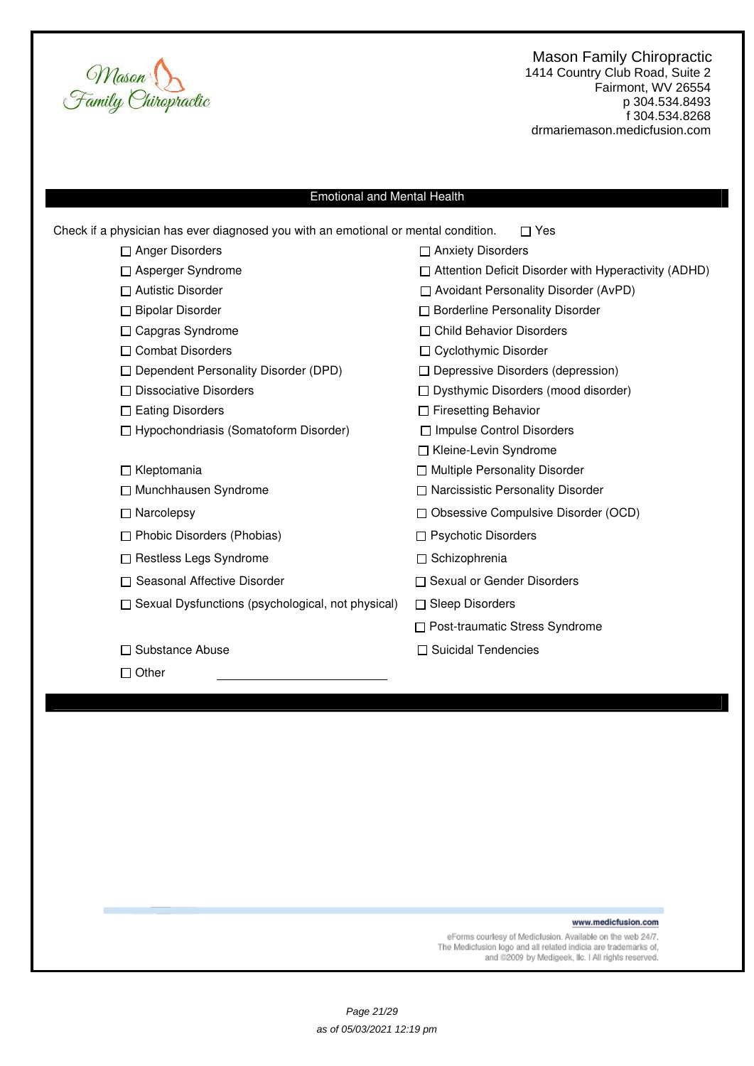

1414 Country Club Road, Suite 2 Fairmont, WV 26554 p 304.534.8493 f 304.534.8268 drmariemason.medicfusion.com

# Emotional and Mental Health

| Check if a physician has ever diagnosed you with an emotional or mental condition. | Yes                                                         |
|------------------------------------------------------------------------------------|-------------------------------------------------------------|
| $\Box$ Anger Disorders                                                             | □ Anxiety Disorders                                         |
| □ Asperger Syndrome                                                                | $\Box$ Attention Deficit Disorder with Hyperactivity (ADHD) |
| $\Box$ Autistic Disorder                                                           | $\Box$ Avoidant Personality Disorder (AvPD)                 |
| □ Bipolar Disorder                                                                 | □ Borderline Personality Disorder                           |
| □ Capgras Syndrome                                                                 | □ Child Behavior Disorders                                  |
| □ Combat Disorders                                                                 | □ Cyclothymic Disorder                                      |
| □ Dependent Personality Disorder (DPD)                                             | $\Box$ Depressive Disorders (depression)                    |
| $\Box$ Dissociative Disorders                                                      | $\Box$ Dysthymic Disorders (mood disorder)                  |
| $\Box$ Eating Disorders                                                            | $\Box$ Firesetting Behavior                                 |
| □ Hypochondriasis (Somatoform Disorder)                                            | □ Impulse Control Disorders                                 |
|                                                                                    | □ Kleine-Levin Syndrome                                     |
| $\Box$ Kleptomania                                                                 | □ Multiple Personality Disorder                             |
| □ Munchhausen Syndrome                                                             | □ Narcissistic Personality Disorder                         |
| $\Box$ Narcolepsy                                                                  | □ Obsessive Compulsive Disorder (OCD)                       |
| $\Box$ Phobic Disorders (Phobias)                                                  | $\Box$ Psychotic Disorders                                  |
| □ Restless Legs Syndrome                                                           | □ Schizophrenia                                             |
| $\Box$ Seasonal Affective Disorder                                                 | $\Box$ Sexual or Gender Disorders                           |
| $\Box$ Sexual Dysfunctions (psychological, not physical)                           | $\Box$ Sleep Disorders                                      |
|                                                                                    | □ Post-traumatic Stress Syndrome                            |
| □ Substance Abuse                                                                  | □ Suicidal Tendencies                                       |
| $\Box$ Other                                                                       |                                                             |
|                                                                                    |                                                             |

www.medicfusion.com

eForms courtesy of Medicfusion. Available on the web 24/7.<br>The Medicfusion logo and all related indicia are trademarks of,<br>and @2009 by Medigeek, Ilc. I All rights reserved.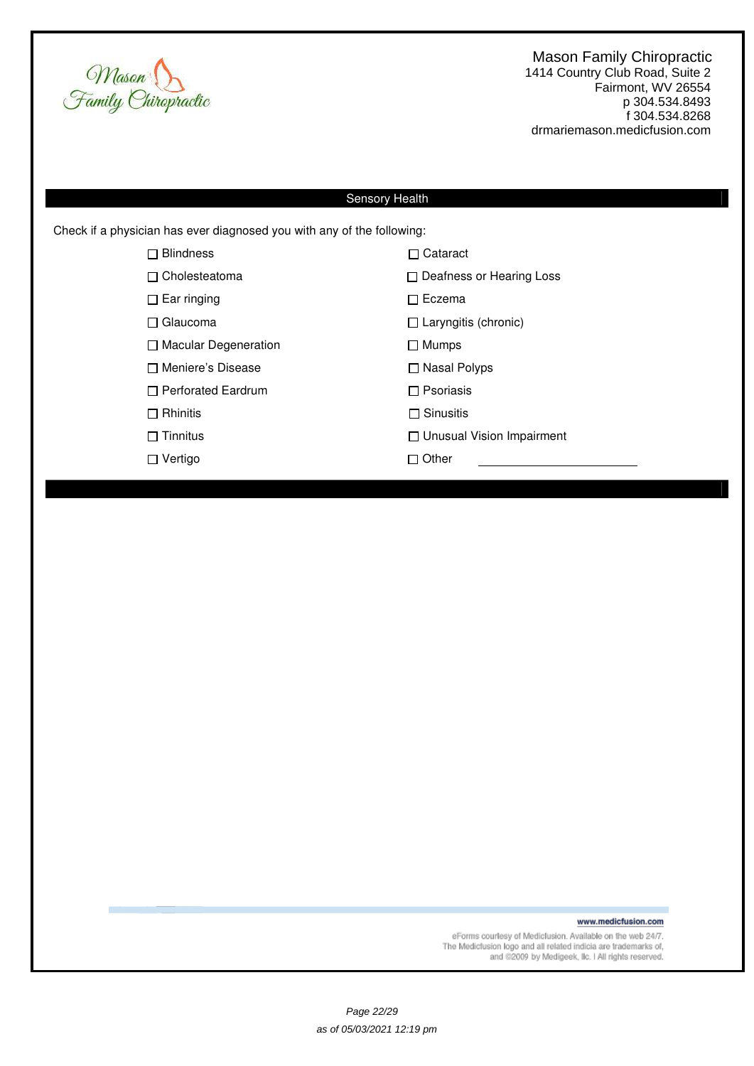

1414 Country Club Road, Suite 2 Fairmont, WV 26554 p 304.534.8493 f 304.534.8268 drmariemason.medicfusion.com

# Sensory Health

Check if a physician has ever diagnosed you with any of the following:

| <b>Blindness</b><br>П       | $\Box$ Cataract                  |
|-----------------------------|----------------------------------|
| $\Box$ Cholesteatoma        | $\Box$ Deafness or Hearing Loss  |
| $\Box$ Ear ringing          | $\sqcap$ Eczema                  |
| □ Glaucoma                  | $\Box$ Laryngitis (chronic)      |
| $\Box$ Macular Degeneration | $\Box$ Mumps                     |
| □ Meniere's Disease         | $\Box$ Nasal Polyps              |
| $\Box$ Perforated Eardrum   | $\Box$ Psoriasis                 |
| $\Box$ Rhinitis             | $\Box$ Sinusitis                 |
| $\Box$ Tinnitus             | $\Box$ Unusual Vision Impairment |
| ⊟ Vertigo                   | $\sqcap$ Other                   |
|                             |                                  |

www.medicfusion.com

eForms courtesy of Medicfusion. Available on the web 24/7.<br>The Medicfusion logo and all related indicia are trademarks of,<br>and @2009 by Medigeek, IIc. I All rights reserved.

Page 22/29 as of 05/03/2021 12:19 pm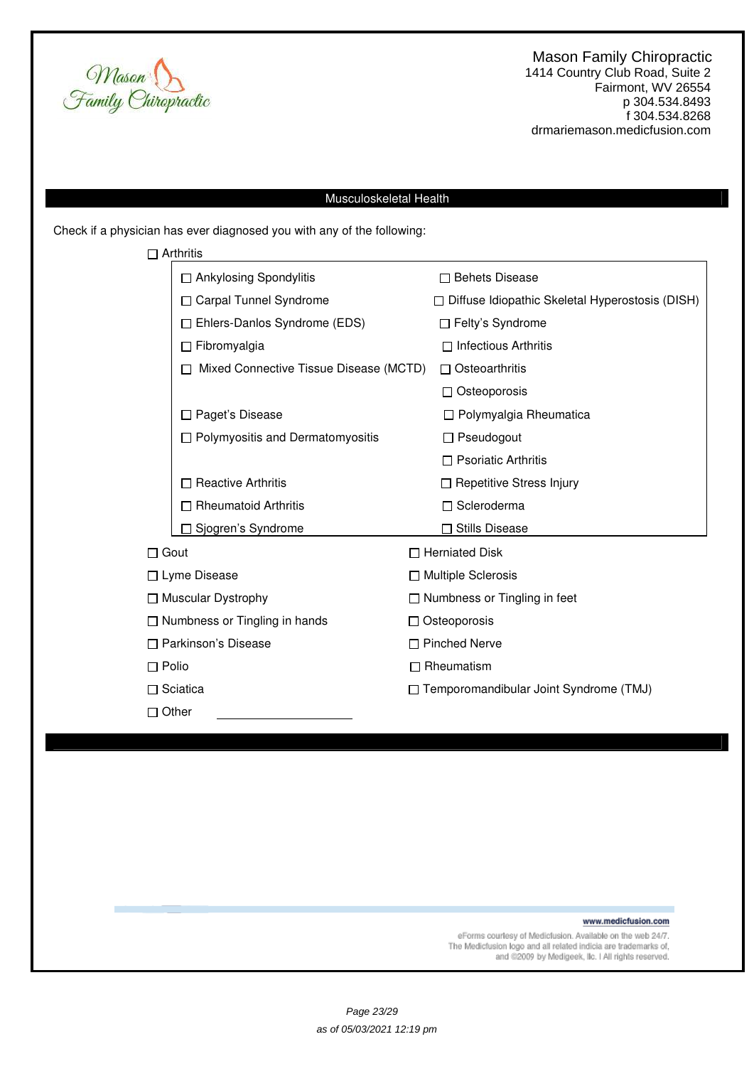

# Musculoskeletal Health

Check if a physician has ever diagnosed you with any of the following:

|              | $\Box$ Arthritis                       |                                     |                                                        |  |
|--------------|----------------------------------------|-------------------------------------|--------------------------------------------------------|--|
|              | $\Box$ Ankylosing Spondylitis          |                                     | $\Box$ Behets Disease                                  |  |
|              | <b>Carpal Tunnel Syndrome</b>          |                                     | $\Box$ Diffuse Idiopathic Skeletal Hyperostosis (DISH) |  |
|              | $\Box$ Ehlers-Danlos Syndrome (EDS)    | $\Box$ Felty's Syndrome             |                                                        |  |
|              | $\Box$ Fibromyalgia                    |                                     | $\Box$ Infectious Arthritis                            |  |
|              | Mixed Connective Tissue Disease (MCTD) |                                     | $\Box$ Osteoarthritis                                  |  |
|              |                                        |                                     | $\Box$ Osteoporosis                                    |  |
|              | Paget's Disease                        |                                     | $\Box$ Polymyalgia Rheumatica                          |  |
|              | □ Polymyositis and Dermatomyositis     |                                     | $\Box$ Pseudogout                                      |  |
|              |                                        |                                     | $\Box$ Psoriatic Arthritis                             |  |
|              | <b>Reactive Arthritis</b>              |                                     | □ Repetitive Stress Injury                             |  |
|              | <b>Rheumatoid Arthritis</b>            |                                     | □ Scleroderma                                          |  |
|              | Sjogren's Syndrome                     |                                     | <b>Stills Disease</b>                                  |  |
| $\Box$ Gout  |                                        |                                     | □ Herniated Disk                                       |  |
|              | $\Box$ Lyme Disease                    | $\Box$ Multiple Sclerosis           |                                                        |  |
|              | $\Box$ Muscular Dystrophy              | $\Box$ Numbness or Tingling in feet |                                                        |  |
|              | $\Box$ Numbness or Tingling in hands   | $\Box$ Osteoporosis                 |                                                        |  |
|              | □ Parkinson's Disease                  | □ Pinched Nerve                     |                                                        |  |
| $\Box$ Polio |                                        | Rheumatism                          |                                                        |  |
|              | $\Box$ Sciatica                        |                                     | □ Temporomandibular Joint Syndrome (TMJ)               |  |
| $\Box$ Other |                                        |                                     |                                                        |  |

www.medicfusion.com

eForms courtesy of Medicfusion. Available on the web 24/7.<br>The Medicfusion logo and all related indicia are trademarks of, and @2009 by Medigeek, Ilc. I All rights reserved.

Page 23/29 as of 05/03/2021 12:19 pm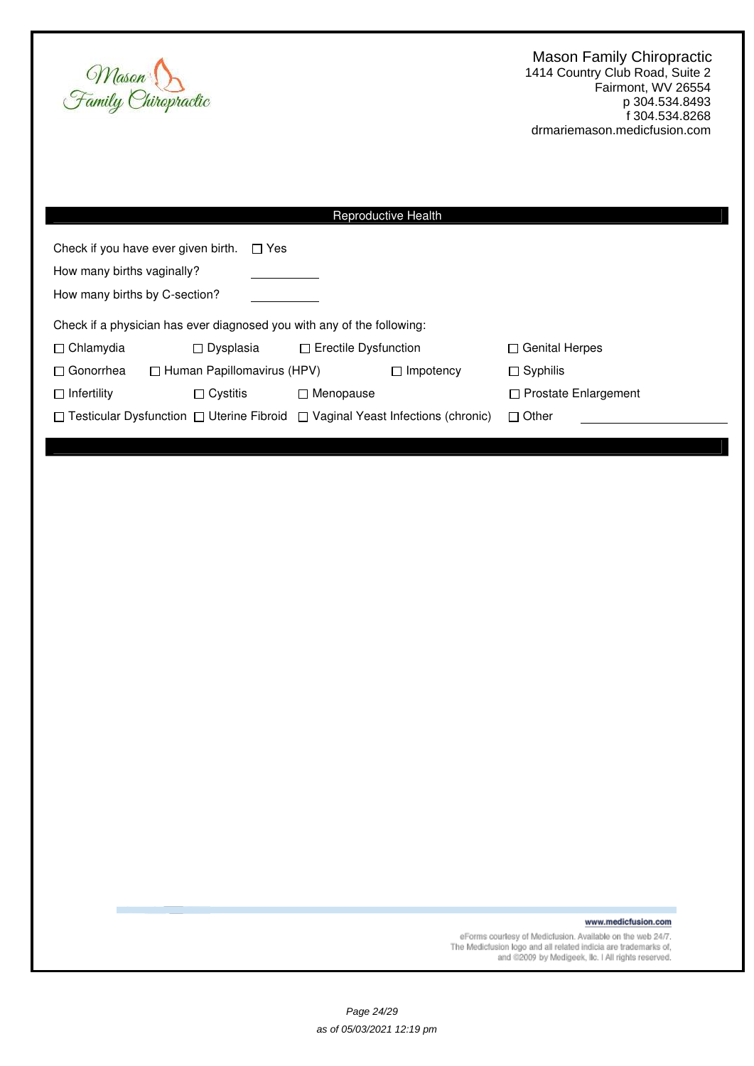

| Reproductive Health                                                                                            |  |                             |                |                             |  |  |  |
|----------------------------------------------------------------------------------------------------------------|--|-----------------------------|----------------|-----------------------------|--|--|--|
| Check if you have ever given birth.<br>$\Box$ Yes                                                              |  |                             |                |                             |  |  |  |
| How many births vaginally?                                                                                     |  |                             |                |                             |  |  |  |
| How many births by C-section?                                                                                  |  |                             |                |                             |  |  |  |
| Check if a physician has ever diagnosed you with any of the following:                                         |  |                             |                |                             |  |  |  |
| $\Box$ Chlamydia<br>$\Box$ Dysplasia                                                                           |  | $\Box$ Erectile Dysfunction |                | $\Box$ Genital Herpes       |  |  |  |
| $\Box$ Human Papillomavirus (HPV)<br>$\Box$ Gonorrhea                                                          |  |                             | Impotency<br>П | $\Box$ Syphilis             |  |  |  |
| $\Box$ Cystitis<br>$\Box$ Infertility                                                                          |  | $\Box$ Menopause            |                | $\Box$ Prostate Enlargement |  |  |  |
| $\Box$ Testicular Dysfunction $\Box$ Uterine Fibroid $\Box$ Vaginal Yeast Infections (chronic)<br>$\Box$ Other |  |                             |                |                             |  |  |  |
|                                                                                                                |  |                             |                |                             |  |  |  |

www.medicfusion.com

eForms courtesy of Medicfusion. Available on the web 24/7.<br>The Medicfusion logo and all related indicia are trademarks of,<br>and @2009 by Medigeek, Ilc. I All rights reserved.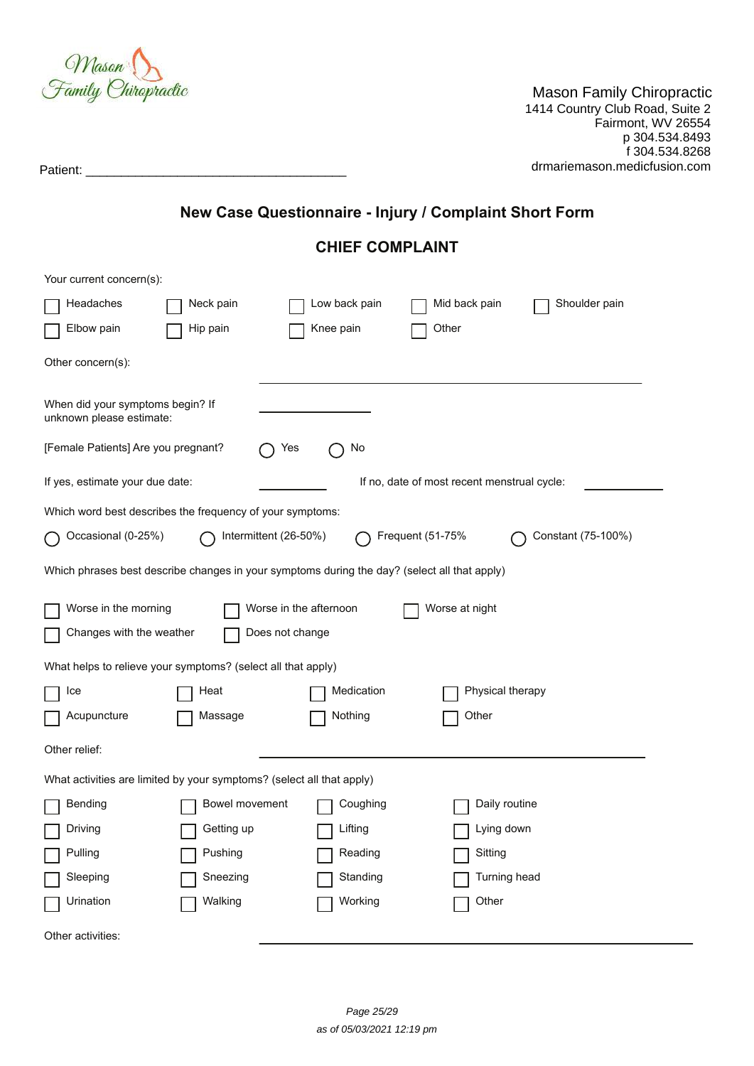

amily Chiropractic p 31.113 praoud<br>16 Deed Suite 2  $5$  NU  $304.5$  30116  $\epsilon$  $\frac{1}{2000}$  all  $\frac{1}{200}$  and  $\frac{1}{200}$  and  $\frac{200}{200}$ Mason Family Chiropractic 1414 Country Club Road, Suite 2 Fairmont, WV 26554 p 304.534.8493 f 304.534.8268

Patient: \_\_\_\_\_\_\_\_\_\_\_\_\_\_\_\_\_\_\_\_\_\_\_\_\_\_\_\_\_\_\_\_\_\_\_\_\_ drmariemason.medicfusion.com

# **New Case Questionnaire - Injury / Complaint Short Form**

# **CHIEF COMPLAINT**

| Your current concern(s):                                                                     |                |                        |               |                                             |                    |  |  |  |
|----------------------------------------------------------------------------------------------|----------------|------------------------|---------------|---------------------------------------------|--------------------|--|--|--|
| Headaches                                                                                    | Neck pain      |                        | Low back pain | Mid back pain                               | Shoulder pain      |  |  |  |
| Elbow pain                                                                                   | Hip pain       |                        | Knee pain     | Other                                       |                    |  |  |  |
| Other concern(s):                                                                            |                |                        |               |                                             |                    |  |  |  |
| When did your symptoms begin? If<br>unknown please estimate:                                 |                |                        |               |                                             |                    |  |  |  |
| [Female Patients] Are you pregnant?                                                          |                | Yes                    | No            |                                             |                    |  |  |  |
| If yes, estimate your due date:                                                              |                |                        |               | If no, date of most recent menstrual cycle: |                    |  |  |  |
| Which word best describes the frequency of your symptoms:                                    |                |                        |               |                                             |                    |  |  |  |
| Occasional (0-25%)                                                                           |                | Intermittent (26-50%)  |               | Frequent (51-75%                            | Constant (75-100%) |  |  |  |
| Which phrases best describe changes in your symptoms during the day? (select all that apply) |                |                        |               |                                             |                    |  |  |  |
| Worse in the morning                                                                         |                | Worse in the afternoon |               | Worse at night                              |                    |  |  |  |
| Changes with the weather                                                                     |                | Does not change        |               |                                             |                    |  |  |  |
| What helps to relieve your symptoms? (select all that apply)                                 |                |                        |               |                                             |                    |  |  |  |
| Ice                                                                                          | Heat           |                        | Medication    | Physical therapy                            |                    |  |  |  |
| Acupuncture                                                                                  | Massage        |                        | Nothing       | Other                                       |                    |  |  |  |
| Other relief:                                                                                |                |                        |               |                                             |                    |  |  |  |
| What activities are limited by your symptoms? (select all that apply)                        |                |                        |               |                                             |                    |  |  |  |
| Bending                                                                                      | Bowel movement |                        | Coughing      | Daily routine                               |                    |  |  |  |
| Driving                                                                                      | Getting up     |                        | Lifting       | Lying down                                  |                    |  |  |  |
| Pulling                                                                                      | Pushing        |                        | Reading       | Sitting                                     |                    |  |  |  |
| Sleeping                                                                                     | Sneezing       |                        | Standing      | Turning head                                |                    |  |  |  |
| Urination                                                                                    | Walking        |                        | Working       | Other                                       |                    |  |  |  |
| Other activities:                                                                            |                |                        |               |                                             |                    |  |  |  |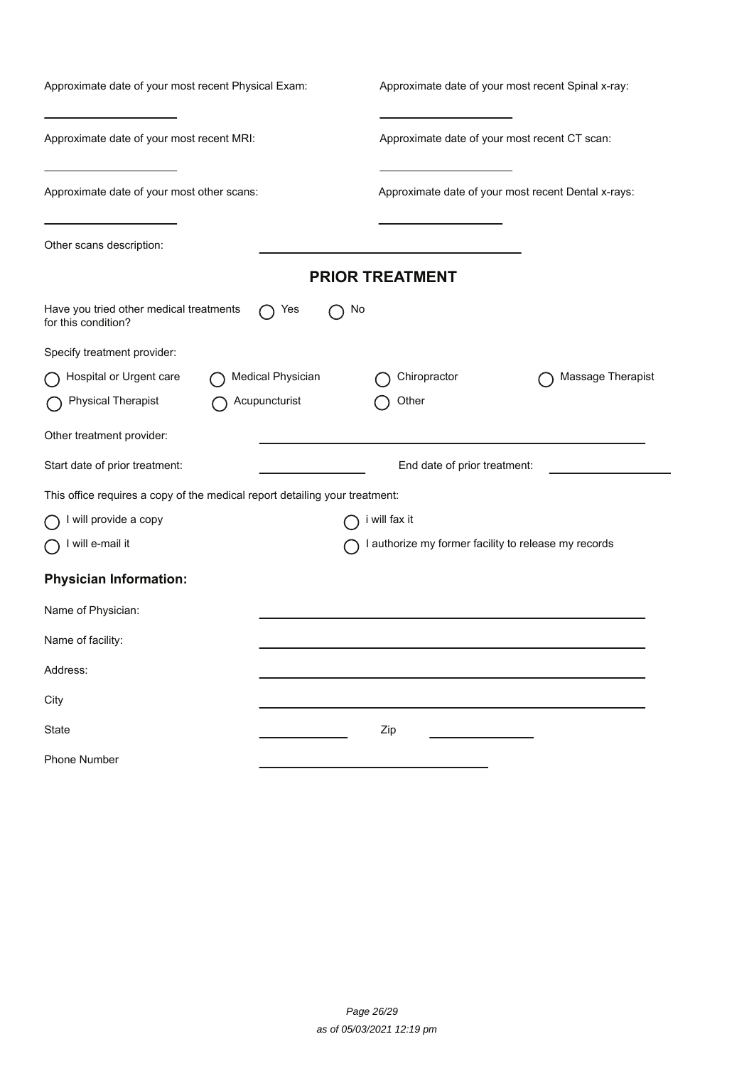| Approximate date of your most recent Physical Exam:                         | Approximate date of your most recent Spinal x-ray:   |  |  |  |  |
|-----------------------------------------------------------------------------|------------------------------------------------------|--|--|--|--|
| Approximate date of your most recent MRI:                                   | Approximate date of your most recent CT scan:        |  |  |  |  |
| Approximate date of your most other scans:                                  | Approximate date of your most recent Dental x-rays:  |  |  |  |  |
| Other scans description:                                                    |                                                      |  |  |  |  |
|                                                                             | <b>PRIOR TREATMENT</b>                               |  |  |  |  |
| Have you tried other medical treatments<br>Yes<br>for this condition?       | No                                                   |  |  |  |  |
| Specify treatment provider:                                                 |                                                      |  |  |  |  |
| Hospital or Urgent care<br>Medical Physician                                | Chiropractor<br>Massage Therapist                    |  |  |  |  |
| <b>Physical Therapist</b><br>Acupuncturist                                  | Other                                                |  |  |  |  |
| Other treatment provider:                                                   |                                                      |  |  |  |  |
| Start date of prior treatment:                                              | End date of prior treatment:                         |  |  |  |  |
| This office requires a copy of the medical report detailing your treatment: |                                                      |  |  |  |  |
| I will provide a copy                                                       | i will fax it                                        |  |  |  |  |
| will e-mail it                                                              | I authorize my former facility to release my records |  |  |  |  |
| <b>Physician Information:</b>                                               |                                                      |  |  |  |  |
| Name of Physician:                                                          |                                                      |  |  |  |  |
| Name of facility:                                                           |                                                      |  |  |  |  |
| Address:                                                                    |                                                      |  |  |  |  |
| City                                                                        |                                                      |  |  |  |  |
| State                                                                       | Zip                                                  |  |  |  |  |
| <b>Phone Number</b>                                                         |                                                      |  |  |  |  |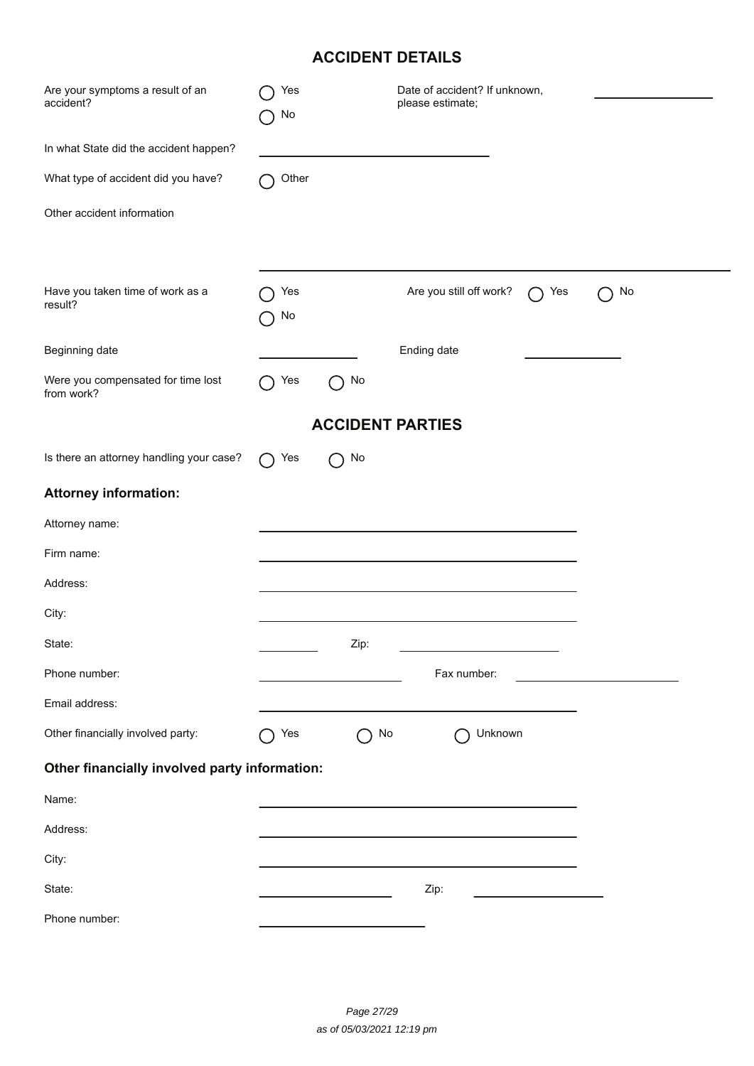| <b>ACCIDENT DETAILS</b>                          |           |      |                                                   |    |  |  |  |
|--------------------------------------------------|-----------|------|---------------------------------------------------|----|--|--|--|
| Are your symptoms a result of an<br>accident?    | Yes<br>No |      | Date of accident? If unknown,<br>please estimate; |    |  |  |  |
| In what State did the accident happen?           |           |      |                                                   |    |  |  |  |
| What type of accident did you have?              | Other     |      |                                                   |    |  |  |  |
| Other accident information                       |           |      |                                                   |    |  |  |  |
| Have you taken time of work as a<br>result?      | Yes<br>No |      | Are you still off work?<br>Yes                    | No |  |  |  |
| Beginning date                                   |           |      | Ending date                                       |    |  |  |  |
| Were you compensated for time lost<br>from work? | Yes       | No   |                                                   |    |  |  |  |
| <b>ACCIDENT PARTIES</b>                          |           |      |                                                   |    |  |  |  |
| Is there an attorney handling your case?         | Yes       | No   |                                                   |    |  |  |  |
| <b>Attorney information:</b>                     |           |      |                                                   |    |  |  |  |
| Attorney name:                                   |           |      |                                                   |    |  |  |  |
| Firm name:                                       |           |      |                                                   |    |  |  |  |
| Address:                                         |           |      |                                                   |    |  |  |  |
| City:                                            |           |      |                                                   |    |  |  |  |
| State:                                           |           | Zip: |                                                   |    |  |  |  |
| Phone number:                                    |           |      | Fax number:                                       |    |  |  |  |
| Email address:                                   |           |      |                                                   |    |  |  |  |
| Other financially involved party:                | Yes       | No   | Unknown                                           |    |  |  |  |
| Other financially involved party information:    |           |      |                                                   |    |  |  |  |
| Name:                                            |           |      |                                                   |    |  |  |  |
| Address:                                         |           |      |                                                   |    |  |  |  |
| City:                                            |           |      |                                                   |    |  |  |  |
| State:                                           |           |      | Zip:                                              |    |  |  |  |
| Phone number:                                    |           |      |                                                   |    |  |  |  |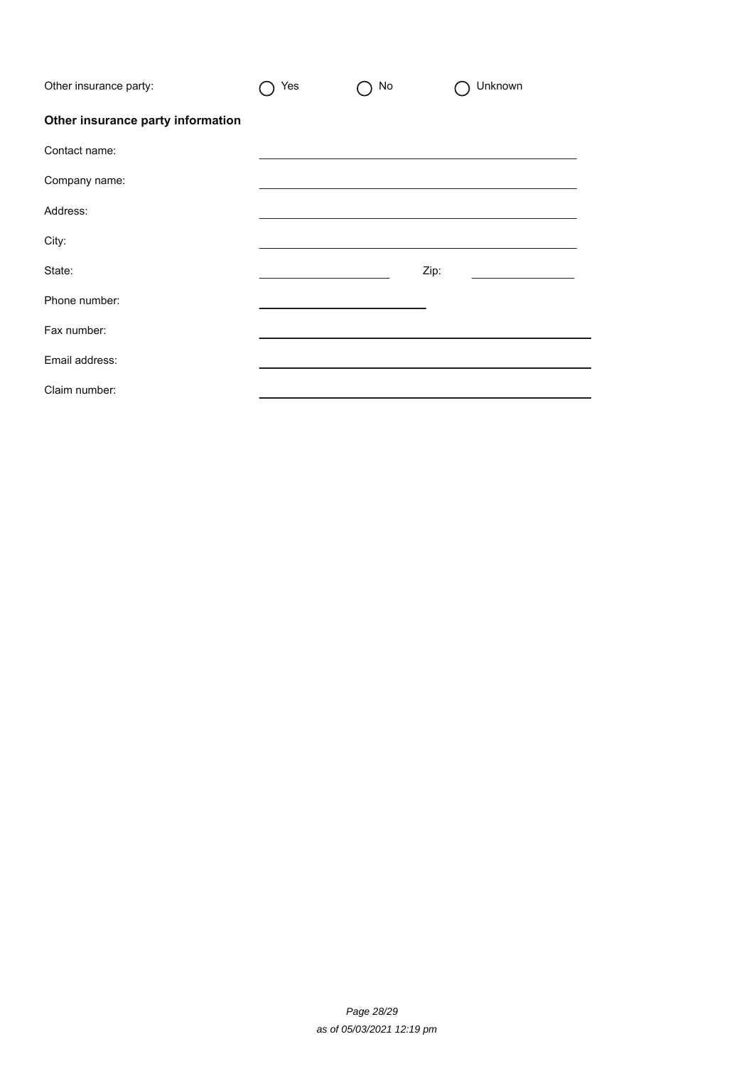| Other insurance party:            | Yes | No | Unknown |
|-----------------------------------|-----|----|---------|
| Other insurance party information |     |    |         |
| Contact name:                     |     |    |         |
| Company name:                     |     |    |         |
| Address:                          |     |    |         |
| City:                             |     |    |         |
| State:                            |     |    | Zip:    |
| Phone number:                     |     |    |         |
| Fax number:                       |     |    |         |
| Email address:                    |     |    |         |
| Claim number:                     |     |    |         |